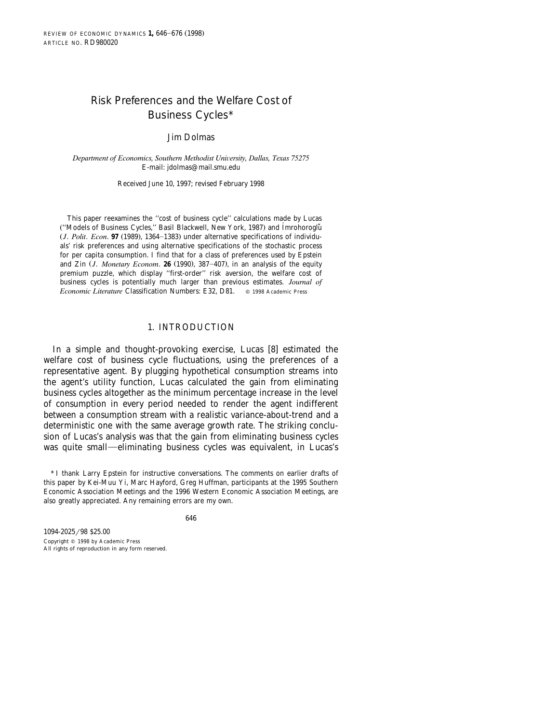# Risk Preferences and the Welfare Cost of Business Cycles\*

## Jim Dolmas

*Department of Economics, Southern Methodist University, Dallas, Texas 75275* E-mail: jdolmas@mail.smu.edu

Received June 10, 1997; revised February 1998

This paper reexamines the ''cost of business cycle'' calculations made by Lucas Ž . ''Models of Business Cycles,'' Basil Blackwell, New York, 1987 and Imrohoroglu ˙ ˇ  $(J.$  *Polit. Econ.* **97** (1989), 1364–1383) under alternative specifications of individuals' risk preferences and using alternative specifications of the stochastic process for per capita consumption. I find that for a class of preferences used by Epstein and Zin (J. Monetary Econom. **26** (1990), 387-407), in an analysis of the equity premium puzzle, which display ''first-order'' risk aversion, the welfare cost of business cycles is potentially much larger than previous estimates. *Journal of Economic Literature* Classification Numbers: E32, D81.  $\circ$  1998 Academic Press

#### 1. INTRODUCTION

In a simple and thought-provoking exercise, Lucas  $[8]$  estimated the welfare cost of business cycle fluctuations, using the preferences of a representative agent. By plugging hypothetical consumption streams into the agent's utility function, Lucas calculated the gain from eliminating business cycles altogether as the minimum percentage increase in the level of consumption in every period needed to render the agent indifferent between a consumption stream with a realistic variance-about-trend and a deterministic one with the same average growth rate. The striking conclusion of Lucas's analysis was that the gain from eliminating business cycles was quite small—eliminating business cycles was equivalent, in Lucas's

<sup>\*</sup> I thank Larry Epstein for instructive conversations. The comments on earlier drafts of this paper by Kei-Muu Yi, Marc Hayford, Greg Huffman, participants at the 1995 Southern Economic Association Meetings and the 1996 Western Economic Association Meetings, are also greatly appreciated. Any remaining errors are my own.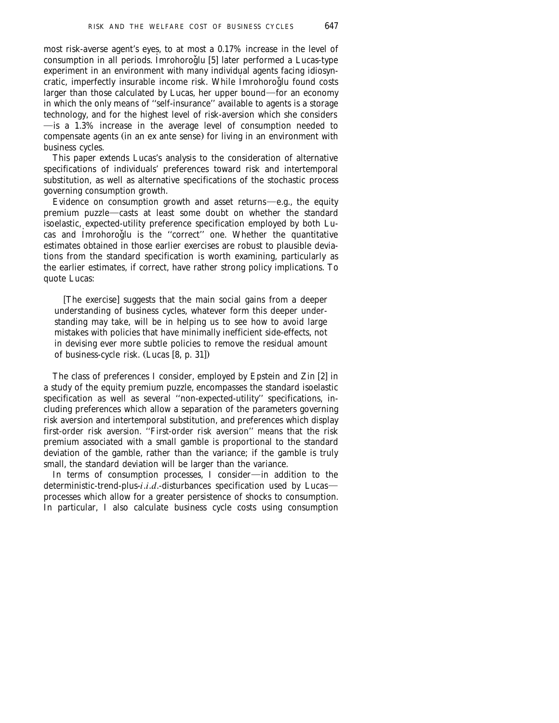most risk-averse agent's eyes, to at most a 0.17% increase in the level of consumption in all periods. Imrohoroglu [5] later performed a Lucas-type experiment in an environment with many individual agents facing idiosyncratic, imperfectly insurable income risk. While Imrohoroğlu found costs larger than those calculated by Lucas, her upper bound—for an economy in which the only means of ''self-insurance'' available to agents is a storage technology, and for the highest level of risk-aversion which she considers  $\frac{3}{1.3\%}$  increase in the average level of consumption needed to compensate agents (in an ex ante sense) for living in an environment with business cycles.

This paper extends Lucas's analysis to the consideration of alternative specifications of individuals' preferences toward risk and intertemporal substitution, as well as alternative specifications of the stochastic process governing consumption growth.

Evidence on consumption growth and asset returns—e.g., the equity premium puzzle—casts at least some doubt on whether the standard isoelastic, expected-utility preference specification employed by both Lucas and Imrohoroğlu is the "correct" one. Whether the quantitative estimates obtained in those earlier exercises are robust to plausible deviations from the standard specification is worth examining, particularly as the earlier estimates, if correct, have rather strong policy implications. To quote Lucas:

[The exercise] suggests that the main social gains from a deeper understanding of business cycles, whatever form this deeper understanding may take, will be in helping us to see how to avoid large mistakes with policies that have minimally inefficient side-effects, not in devising ever more subtle policies to remove the residual amount of business-cycle risk. (Lucas [8, p. 31])

The class of preferences I consider, employed by Epstein and Zin [2] in a study of the equity premium puzzle, encompasses the standard isoelastic specification as well as several ''non-expected-utility'' specifications, including preferences which allow a separation of the parameters governing risk aversion and intertemporal substitution, and preferences which display first-order risk aversion. ''First-order risk aversion'' means that the risk premium associated with a small gamble is proportional to the standard deviation of the gamble, rather than the variance; if the gamble is truly small, the standard deviation will be larger than the variance.

In terms of consumption processes, I consider—in addition to the deterministic-trend-plus-*i.i.d*.-disturbances specification used by Lucasprocesses which allow for a greater persistence of shocks to consumption. In particular, I also calculate business cycle costs using consumption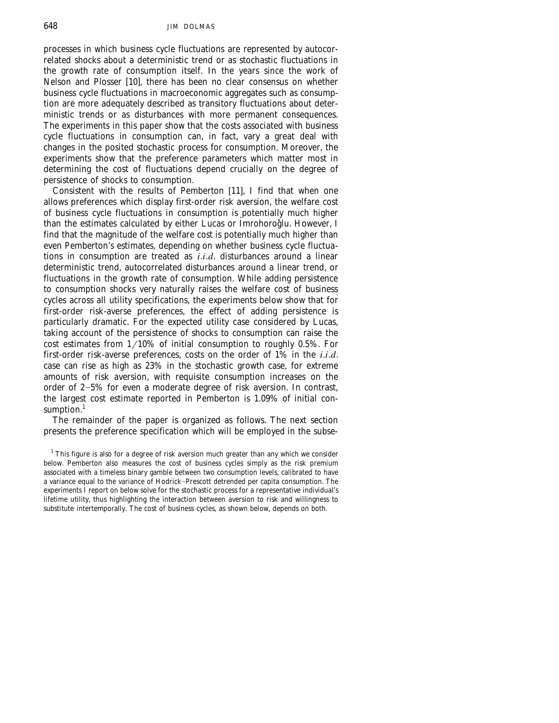processes in which business cycle fluctuations are represented by autocorrelated shocks about a deterministic trend or as stochastic fluctuations in the growth rate of consumption itself. In the years since the work of  $N$ elson and Plosser [10], there has been no clear consensus on whether business cycle fluctuations in macroeconomic aggregates such as consumption are more adequately described as transitory fluctuations about deterministic trends or as disturbances with more permanent consequences. The experiments in this paper show that the costs associated with business cycle fluctuations in consumption can, in fact, vary a great deal with changes in the posited stochastic process for consumption. Moreover, the experiments show that the preference parameters which matter most in determining the cost of fluctuations depend crucially on the degree of persistence of shocks to consumption.

Consistent with the results of Pemberton  $[11]$ , I find that when one allows preferences which display first-order risk aversion, the welfare cost of business cycle fluctuations in consumption is potentially much higher than the estimates calculated by either Lucas or Imrohoroğlu. However, I find that the magnitude of the welfare cost is potentially much higher than even Pemberton's estimates, depending on whether business cycle fluctuations in consumption are treated as *i*.*i*.*d*. disturbances around a linear deterministic trend, autocorrelated disturbances around a linear trend, or fluctuations in the growth rate of consumption. While adding persistence to consumption shocks very naturally raises the welfare cost of business cycles across all utility specifications, the experiments below show that for first-order risk-averse preferences, the effect of adding persistence is particularly dramatic. For the expected utility case considered by Lucas, taking account of the persistence of shocks to consumption can raise the cost estimates from  $1/10\%$  of initial consumption to roughly 0.5%. For first-order risk-averse preferences, costs on the order of 1% in the *i*.*i*.*d*. case can rise as high as 23% in the stochastic growth case, for extreme amounts of risk aversion, with requisite consumption increases on the order of  $2-5\%$  for even a moderate degree of risk aversion. In contrast, the largest cost estimate reported in Pemberton is 1.09% of initial consumption.<sup>1</sup>

The remainder of the paper is organized as follows. The next section presents the preference specification which will be employed in the subse-

 $1$  This figure is also for a degree of risk aversion much greater than any which we consider below. Pemberton also measures the cost of business cycles simply as the risk premium associated with a timeless binary gamble between two consumption levels, calibrated to have a variance equal to the variance of Hodrick–Prescott detrended per capita consumption. The experiments I report on below solve for the stochastic process for a representative individual's lifetime utility, thus highlighting the interaction between aversion to risk and willingness to substitute intertemporally. The cost of business cycles, as shown below, depends on both.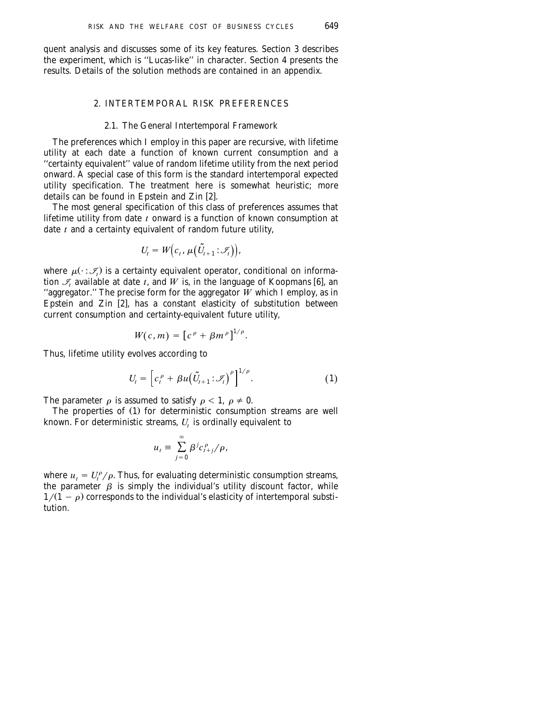quent analysis and discusses some of its key features. [Section 3](#page-9-0) describes the experiment, which is ''Lucas-like'' in character. [Section 4](#page-13-0) presents the results. Details of the solution methods are contained in an appendix.

#### 2. INTERTEMPORAL RISK PREFERENCES

#### 2.1. The General Intertemporal Framework

The preferences which I employ in this paper are recursive, with lifetime utility at each date a function of known current consumption and a ''certainty equivalent'' value of random lifetime utility from the next period onward. A special case of this form is the standard intertemporal expected utility specification. The treatment here is somewhat heuristic; more details can be found in Epstein and Zin  $[2]$ .

The most general specification of this class of preferences assumes that lifetime utility from date *t* onward is a function of known consumption at date *t* and a certainty equivalent of random future utility,

$$
U_t = W\big(c_t, \mu\big(\tilde{U}_{t+1}:\mathscr{I}_t\big)\big),
$$

where  $\mu(\cdot; \mathcal{I})$  is a certainty equivalent operator, conditional on information  $\mathcal{I}_t$  available at date *t*, and *W* is, in the language of Koopmans [6], an "aggregator." The precise form for the aggregator  $\tilde{W}$  which I employ, as in Epstein and Zin  $[2]$ , has a constant elasticity of substitution between current consumption and certainty-equivalent future utility,

$$
W(c,m)=[c^{\rho}+\beta m^{\rho}]^{1/\rho}.
$$

Thus, lifetime utility evolves according to

$$
U_t = \left[ c_t^{\rho} + \beta u \left( \tilde{U}_{t+1} : \mathcal{I}_t \right)^{\rho} \right]^{1/\rho} . \tag{1}
$$

The parameter  $\rho$  is assumed to satisfy  $\rho < 1$ ,  $\rho \neq 0$ .

The properties of  $(1)$  for deterministic consumption streams are well known. For deterministic streams, *Ut* is ordinally equivalent to

$$
u_t \equiv \sum_{j=0}^{\infty} \beta^j c_{t+j}^{\rho}/\rho,
$$

where  $u_t = U_t^{\rho}/\rho$ . Thus, for evaluating deterministic consumption streams, the parameter  $\beta$  is simply the individual's utility discount factor, while  $1/(1 - \rho)$  corresponds to the individual's elasticity of intertemporal substitution.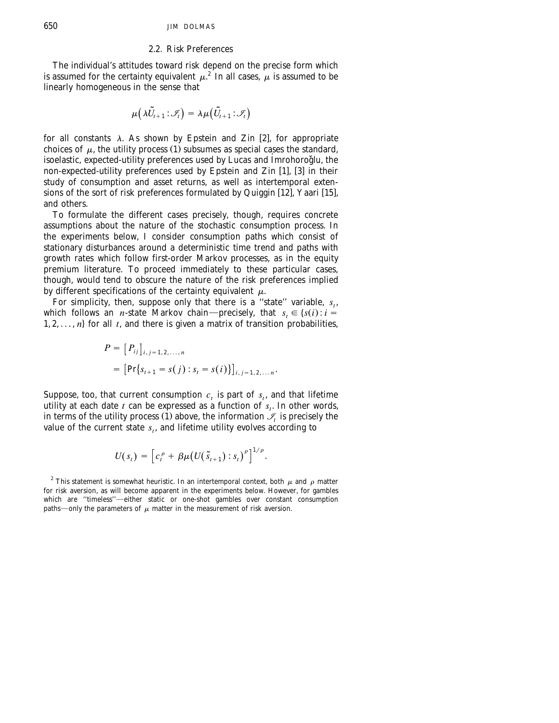#### 2.2. Risk Preferences

The individual's attitudes toward risk depend on the precise form which is assumed for the certainty equivalent  $\mu. ^2$  In all cases,  $\mu$  is assumed to be linearly homogeneous in the sense that

$$
\mu\big(\,\lambda\tilde{U}_{t+1}\,;\mathscr{I}_t\big)=\lambda\mu\big(\tilde{U}_{t+1}\,;\mathscr{I}_t\big)
$$

for all constants  $\lambda$ . As shown by Epstein and Zin [2], for appropriate choices of  $\mu$ , the utility process (1) subsumes as special cases the standard, isoelastic, expected-utility preferences used by Lucas and Imrohoroğlu, the non-expected-utility preferences used by Epstein and Zin [1], [3] in their study of consumption and asset returns, as well as intertemporal extensions of the sort of risk preferences formulated by Quiggin  $[12]$ , Yaari  $[15]$ , and others.

To formulate the different cases precisely, though, requires concrete assumptions about the nature of the stochastic consumption process. In the experiments below, I consider consumption paths which consist of stationary disturbances around a deterministic time trend and paths with growth rates which follow first-order Markov processes, as in the equity premium literature. To proceed immediately to these particular cases, though, would tend to obscure the nature of the risk preferences implied by different specifications of the certainty equivalent  $\mu$ .

For simplicity, then, suppose only that there is a "state" variable,  $s_t$ , which follows an *n*-state Markov chain—precisely, that  $s_t \in \{s(i): i =$  $1, 2, \ldots, n$  for all *t*, and there is given a matrix of transition probabilities.

$$
P = [P_{ij}]_{i,j=1,2,...,n}
$$
  
=  $[Pr{s_{t+1} = s(j) : s_t = s(i)}]_{i,j=1,2,...,n}.$ 

Suppose, too, that current consumption  $c_t$  is part of  $s_t$ , and that lifetime utility at each date *t* can be expressed as a function of  $s_t$ . In other words, in terms of the utility process (1) above, the information  $\mathcal{I}_t$  is precisely the value of the current state  $s_t$ , and lifetime utility evolves according to

$$
U(s_t) = \left[c_t^{\rho} + \beta \mu \big(U(\tilde{s}_{t+1}) : s_t\big)^{\rho}\right]^{1/\rho}.
$$

<sup>&</sup>lt;sup>2</sup> This statement is somewhat heuristic. In an intertemporal context, both  $\mu$  and  $\rho$  matter for risk aversion, as will become apparent in the experiments below. However, for gambles which are "timeless"-either static or one-shot gambles over constant consumption paths—only the parameters of  $\mu$  matter in the measurement of risk aversion.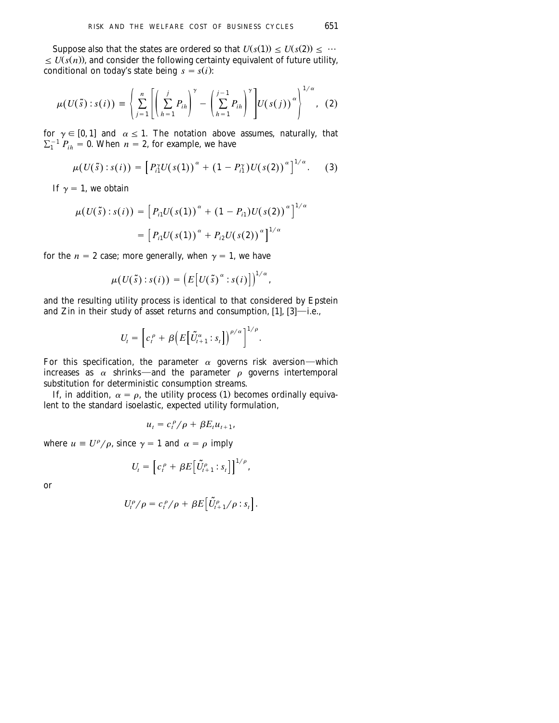Suppose also that the states are ordered so that  $U(s(1)) < U(s(2)) < \cdots$  $\leq U(s(n))$ , and consider the following certainty equivalent of future utility, conditional on today's state being  $s = s(i)$ .

$$
\mu(U(\tilde{s}):s(i)) = \left\{\sum_{j=1}^{n} \left[\left(\sum_{h=1}^{j} P_{ih}\right)^{\gamma} - \left(\sum_{h=1}^{j-1} P_{ih}\right)^{\gamma}\right] U(s(j))^{\alpha}\right\}^{1/\alpha}, (2)
$$

for  $\gamma \in [0, 1]$  and  $\alpha \leq 1$ . The notation above assumes, naturally, that  $\sum_{i=1}^{n} P_{i h} = 0$ . When  $n = 2$ , for example, we have

$$
\mu(U(\tilde{s}):s(i))=\left[P_{i1}^{\gamma}U(s(1))^{\alpha}+(1-P_{i1}^{\gamma})U(s(2))^{\alpha}\right]^{1/\alpha}.\qquad(3)
$$

If  $\gamma = 1$ , we obtain

$$
\mu(U(\tilde{s}) : s(i)) = [P_{i1}U(s(1))^{a} + (1 - P_{i1})U(s(2))^{a}]^{1/a}
$$
  
= 
$$
[P_{i1}U(s(1))^{a} + P_{i2}U(s(2))^{a}]^{1/a}
$$

for the  $n = 2$  case; more generally, when  $\gamma = 1$ , we have

$$
\mu(U(\tilde{s}):s(i))=\big(E\big[U(\tilde{s})^{\alpha}:s(i)\big]\big)^{1/\alpha},
$$

and the resulting utility process is identical to that considered by Epstein and Zin in their study of asset returns and consumption,  $[1]$ ,  $[3]$ -i.e.,

$$
U_t = \left[ c_t^{\rho} + \beta \Big( E \Big[ \tilde{U}_{t+1}^{\alpha} : s_t \Big] \Big)^{\rho/\alpha} \right]^{1/\rho}.
$$

For this specification, the parameter  $\alpha$  governs risk aversion—which increases as  $\alpha$  shrinks—and the parameter  $\rho$  governs intertemporal substitution for deterministic consumption streams.

If, in addition,  $\alpha = \rho$ , the utility process (1) becomes ordinally equivalent to the standard isoelastic, expected utility formulation,

$$
u_t = c_t^{\rho}/\rho + \beta E_t u_{t+1},
$$

where  $u \equiv U^{\rho}/\rho$ , since  $\gamma = 1$  and  $\alpha = \rho$  imply

$$
U_t = \left[ c_t^{\rho} + \beta E \left[ \tilde{U}_{t+1}^{\rho} : s_t \right] \right]^{1/\rho},
$$

or

$$
U_t^{\rho}/\rho = c_t^{\rho}/\rho + \beta E\Big[\tilde{U}_{t+1}^{\rho}/\rho : s_t\Big].
$$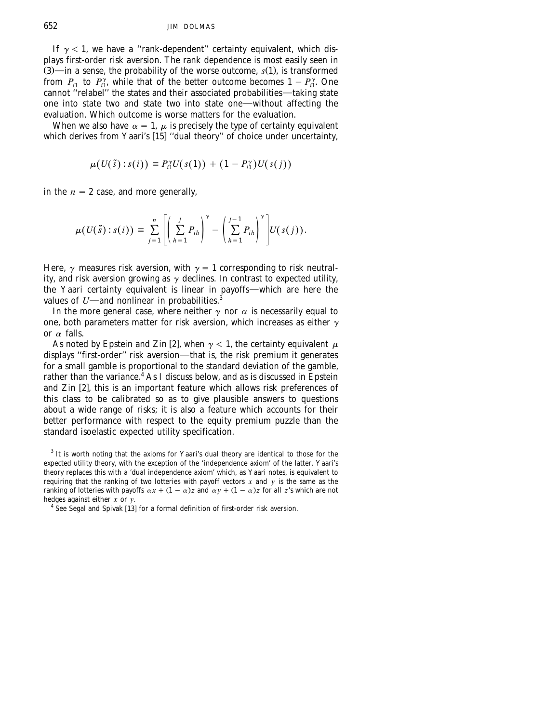If  $\gamma$  < 1, we have a "rank-dependent" certainty equivalent, which displays first-order risk aversion. The rank dependence is most easily seen in  $\overrightarrow{a}$ ) in a sense, the probability of the worse outcome,  $s(1)$ , is transformed from  $P_{i1}$  to  $P_{i1}^{\gamma}$ , while that of the better outcome becomes  $1 - P_{i1}^{\gamma}$ . One cannot ''relabel'' the states and their associated probabilities—taking state one into state two and state two into state one—without affecting the evaluation. Which outcome is worse matters for the evaluation.

When we also have  $\alpha = 1$ ,  $\mu$  is precisely the type of certainty equivalent which derives from Yaari's  $[15]$  "dual theory" of choice under uncertainty,

$$
\mu(U(\tilde{s}):s(i))\equiv P_i^{\gamma}U(s(1))+(1-P_i^{\gamma})U(s(j))
$$

in the  $n = 2$  case, and more generally,

$$
\mu(U(\tilde{s}):s(i)) = \sum_{j=1}^n \left[ \left( \sum_{h=1}^j P_{ih} \right)^{\gamma} - \left( \sum_{h=1}^{j-1} P_{ih} \right)^{\gamma} \right] U(s(j)).
$$

Here,  $\gamma$  measures risk aversion, with  $\gamma = 1$  corresponding to risk neutrality, and risk aversion growing as  $\gamma$  declines. In contrast to expected utility, the Yaari certainty equivalent is linear in payoffs-which are here the values of  $U$ —and nonlinear in probabilities.<sup>3</sup>

In the more general case, where neither  $\gamma$  nor  $\alpha$  is necessarily equal to one, both parameters matter for risk aversion, which increases as either  $\gamma$ or  $\alpha$  falls.

As noted by Epstein and Zin [2], when  $\gamma$  < 1, the certainty equivalent  $\mu$ displays "first-order" risk aversion—that is, the risk premium it generates for a small gamble is proportional to the standard deviation of the gamble, rather than the variance.<sup>4</sup> As I discuss below, and as is discussed in Epstein and Zin  $[2]$ , this is an important feature which allows risk preferences of this class to be calibrated so as to give plausible answers to questions about a wide range of risks; it is also a feature which accounts for their better performance with respect to the equity premium puzzle than the standard isoelastic expected utility specification.

<sup>3</sup> It is worth noting that the axioms for Yaari's dual theory are identical to those for the expected utility theory, with the exception of the 'independence axiom' of the latter. Yaari's theory replaces this with a 'dual independence axiom' which, as Yaari notes, is equivalent to requiring that the ranking of two lotteries with payoff vectors *x* and *y* is the same as the ranking of lotteries with payoffs  $\alpha x + (1 - \alpha)z$  and  $\alpha y + (1 - \alpha)z$  for all *z*'s which are not hedges against either *x* or *y*.<br><sup>4</sup> See Segal and Spivak [13] for a formal definition of first-order risk aversion.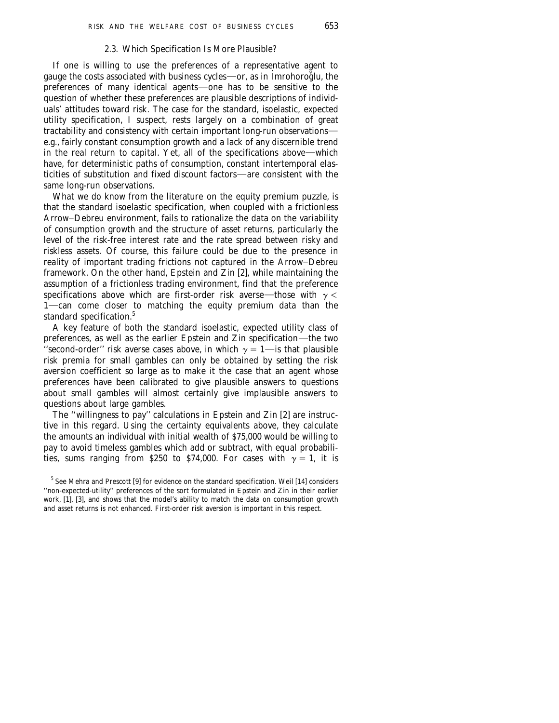# 2.3. Which Specification Is More Plausible?

<span id="page-7-0"></span>If one is willing to use the preferences of a representative agent to gauge the costs associated with business cycles—or, as in Imrohoroglu, the preferences of many identical agents—one has to be sensitive to the question of whether these preferences are plausible descriptions of individuals' attitudes toward risk. The case for the standard, isoelastic, expected utility specification, I suspect, rests largely on a combination of great tractability and consistency with certain important long-run observations e.g., fairly constant consumption growth and a lack of any discernible trend in the real return to capital. Yet, all of the specifications above—which have, for deterministic paths of consumption, constant intertemporal elasticities of substitution and fixed discount factors—are consistent with the same long-run observations.

What we do know from the literature on the equity premium puzzle, is that the standard isoelastic specification, when coupled with a frictionless Arrow–Debreu environment, fails to rationalize the data on the variability of consumption growth and the structure of asset returns, particularly the level of the risk-free interest rate and the rate spread between risky and riskless assets. Of course, this failure could be due to the presence in reality of important trading frictions not captured in the Arrow-Debreu framework. On the other hand, Epstein and  $\overline{Z}$ in [2], while maintaining the assumption of a frictionless trading environment, find that the preference specifications above which are first-order risk averse—those with  $\gamma$  <  $1$ —can come closer to matching the equity premium data than the standard specification.<sup>5</sup>

A key feature of both the standard isoelastic, expected utility class of preferences, as well as the earlier Epstein and  $\overline{Z}$ in specification—the two "second-order" risk averse cases above, in which  $\gamma = 1$ —is that plausible risk premia for small gambles can only be obtained by setting the risk aversion coefficient so large as to make it the case that an agent whose preferences have been calibrated to give plausible answers to questions about small gambles will almost certainly give implausible answers to questions about large gambles.

The "willingness to pay" calculations in Epstein and Zin  $[2]$  are instructive in this regard. Using the certainty equivalents above, they calculate the amounts an individual with initial wealth of \$75,000 would be willing to pay to avoid timeless gambles which add or subtract, with equal probabilities, sums ranging from \$250 to \$74,000. For cases with  $\gamma = 1$ , it is

 $5$  See Mehra and Prescott [9] for evidence on the standard specification. Weil [14] considers ''non-expected-utility'' preferences of the sort formulated in Epstein and Zin in their earlier work, [1], [3], and shows that the model's ability to match the data on consumption growth and asset returns is not enhanced. First-order risk aversion is important in this respect.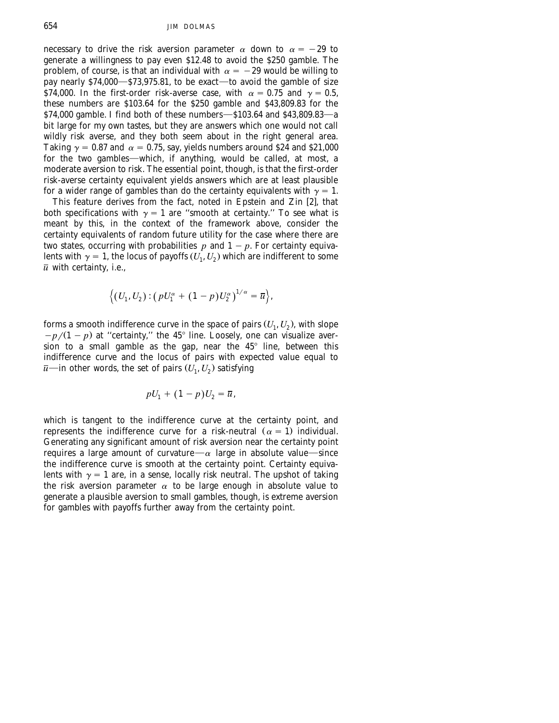necessary to drive the risk aversion parameter  $\alpha$  down to  $\alpha = -29$  to generate a willingness to pay even \$12.48 to avoid the \$250 gamble. The problem, of course, is that an individual with  $\alpha = -29$  would be willing to pay nearly \$74,000—\$73,975.81, to be exact—to avoid the gamble of size  $\sim 574,000$ . In the first-order risk-averse case, with  $\alpha = 0.75$  and  $\gamma = 0.5,$ these numbers are \$103.64 for the \$250 gamble and \$43,809.83 for the \$74,000 gamble. I find both of these numbers—\$103.64 and \$43,809.83—a bit large for my own tastes, but they are answers which one would not call wildly risk averse, and they both seem about in the right general area. Taking  $\gamma = 0.87$  and  $\alpha = 0.75$ , say, yields numbers around \$24 and \$21,000 for the two gambles—which, if anything, would be called, at most, a moderate aversion to risk. The essential point, though, is that the first-order risk-averse certainty equivalent yields answers which are at least plausible for a wider range of gambles than do the certainty equivalents with  $\gamma = 1$ .

This feature derives from the fact, noted in Epstein and Zin [2], that both specifications with  $\gamma = 1$  are "smooth at certainty." To see what is meant by this, in the context of the framework above, consider the certainty equivalents of random future utility for the case where there are two states, occurring with probabilities  $p$  and  $1 - p$ . For certainty equivalents with  $\gamma = 1$ , the locus of payoffs  $(U_1, U_2)$  which are indifferent to some  $\bar{u}$  with certainty, i.e.,

$$
\Big\{(U_1, U_2): (pU_1^{\alpha} + (1-p)U_2^{\alpha})^{1/\alpha} = \overline{u}\Big\},\
$$

forms a smooth indifference curve in the space of pairs  $(U_1, U_2)$ , with slope  $-p/(1-p)$  at "certainty," the 45° line. Loosely, one can visualize aversion to a small gamble as the gap, near the  $45^{\circ}$  line, between this indifference curve and the locus of pairs with expected value equal to  $\overline{u}$ —in other words, the set of pairs  $(U_1, U_2)$  satisfying

$$
pU_1+(1-p)U_2=\overline{u},
$$

which is tangent to the indifference curve at the certainty point, and represents the indifference curve for a risk-neutral  $(\alpha = 1)$  individual. Generating any significant amount of risk aversion near the certainty point requires a large amount of curvature $-\alpha$  large in absolute value $-$ since the indifference curve is smooth at the certainty point. Certainty equivalents with  $\gamma = 1$  are, in a sense, locally risk neutral. The upshot of taking the risk aversion parameter  $\alpha$  to be large enough in absolute value to generate a plausible aversion to small gambles, though, is extreme aversion for gambles with payoffs further away from the certainty point.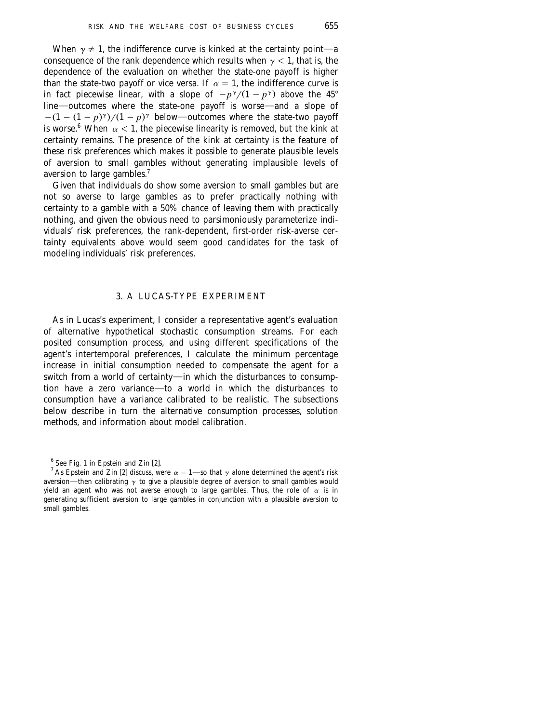<span id="page-9-0"></span>When  $\gamma \neq 1$ , the indifference curve is kinked at the certainty point—a consequence of the rank dependence which results when  $\gamma < 1$ , that is, the dependence of the evaluation on whether the state-one payoff is higher than the state-two payoff or vice versa. If  $\alpha = 1$ , the indifference curve is in fact piecewise linear, with a slope of  $-p^{\gamma}/(1 - p^{\gamma})$  above the 45° line—outcomes where the state-one payoff is worse—and a slope of  $-(1 - (1 - p)^{\gamma})/(1 - p)^{\gamma}$  below—outcomes where the state-two payoff is worse.<sup>6</sup> When  $\alpha$  < 1, the piecewise linearity is removed, but the kink at certainty remains. The presence of the kink at certainty is the feature of these risk preferences which makes it possible to generate plausible levels of aversion to small gambles without generating implausible levels of aversion to large gambles.<sup>7</sup>

Given that individuals do show some aversion to small gambles but are not so averse to large gambles as to prefer practically nothing with certainty to a gamble with a 50% chance of leaving them with practically nothing, and given the obvious need to parsimoniously parameterize individuals' risk preferences, the rank-dependent, first-order risk-averse certainty equivalents above would seem good candidates for the task of modeling individuals' risk preferences.

### 3. A LUCAS-TYPE EXPERIMENT

As in Lucas's experiment, I consider a representative agent's evaluation of alternative hypothetical stochastic consumption streams. For each posited consumption process, and using different specifications of the agent's intertemporal preferences, I calculate the minimum percentage increase in initial consumption needed to compensate the agent for a switch from a world of certainty-in which the disturbances to consumption have a zero variance—to a world in which the disturbances to consumption have a variance calibrated to be realistic. The subsections below describe in turn the alternative consumption processes, solution methods, and information about model calibration.

<sup>&</sup>lt;sup>6</sup> See Fig. 1 in Epstein and Zin [2].<br><sup>7</sup> As Epstein and Zin [2] discuss, were  $\alpha = 1$ —so that  $\gamma$  alone determined the agent's risk aversion—then calibrating  $\gamma$  to give a plausible degree of aversion to small gambles would yield an agent who was not averse enough to large gambles. Thus, the role of  $\alpha$  is in generating sufficient aversion to large gambles in conjunction with a plausible aversion to small gambles.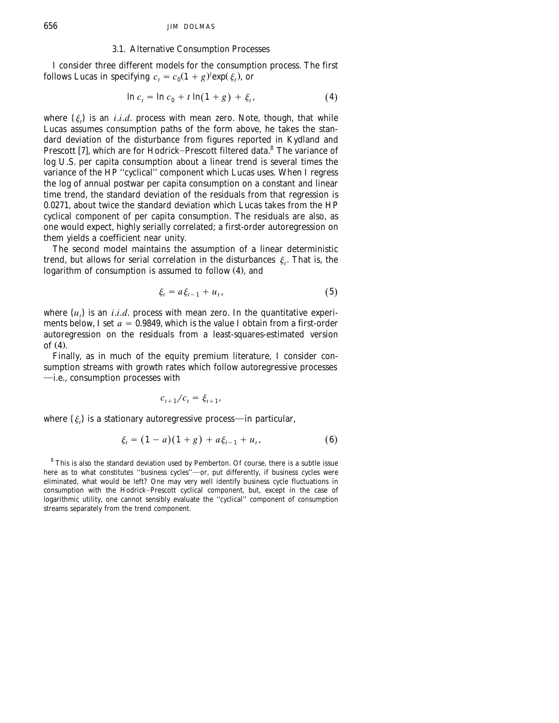#### 3.1. Alternative Consumption Processes

I consider three different models for the consumption process. The first follows Lucas in specifying  $c_t = c_0(1 + g)^t \exp(\xi_t)$ , or

$$
\ln c_t = \ln c_0 + t \ln(1+g) + \xi_t, \tag{4}
$$

where  $\{\xi_i\}$  is an *i.i.d.* process with mean zero. Note, though, that while Lucas assumes consumption paths of the form above, he takes the standard deviation of the disturbance from figures reported in Kydland and Prescott [7], which are for Hodrick-Prescott filtered data.<sup>8</sup> The variance of log U.S. per capita consumption about a linear trend is several times the variance of the HP ''cyclical'' component which Lucas uses. When I regress the log of annual postwar per capita consumption on a constant and linear time trend, the standard deviation of the residuals from that regression is 0.0271, about twice the standard deviation which Lucas takes from the HP cyclical component of per capita consumption. The residuals are also, as one would expect, highly serially correlated; a first-order autoregression on them yields a coefficient near unity.

The second model maintains the assumption of a linear deterministic trend, but allows for serial correlation in the disturbances  $\xi_t$ . That is, the logarithm of consumption is assumed to follow (4), and

$$
\xi_t = a \xi_{t-1} + u_t,\tag{5}
$$

where  $\{u_i\}$  is an *i.i.d.* process with mean zero. In the quantitative experiments below, I set  $a = 0.9849$ , which is the value I obtain from a first-order autoregression on the residuals from a least-squares-estimated version of  $(4)$ .

Finally, as in much of the equity premium literature, I consider consumption streams with growth rates which follow autoregressive processes  $-i.e.,$  consumption processes with

$$
c_{t+1}/c_t = \xi_{t+1},
$$

where  $\{\xi_t\}$  is a stationary autoregressive process—in particular,

$$
\xi_t = (1-a)(1+g) + a\xi_{t-1} + u_t, \qquad (6)
$$

<sup>8</sup> This is also the standard deviation used by Pemberton. Of course, there is a subtle issue here as to what constitutes "business cycles"-or, put differently, if business cycles were eliminated, what would be left? One may very well identify business cycle fluctuations in consumption with the Hodrick-Prescott cyclical component, but, except in the case of logarithmic utility, one cannot sensibly evaluate the ''cyclical'' component of consumption streams separately from the trend component.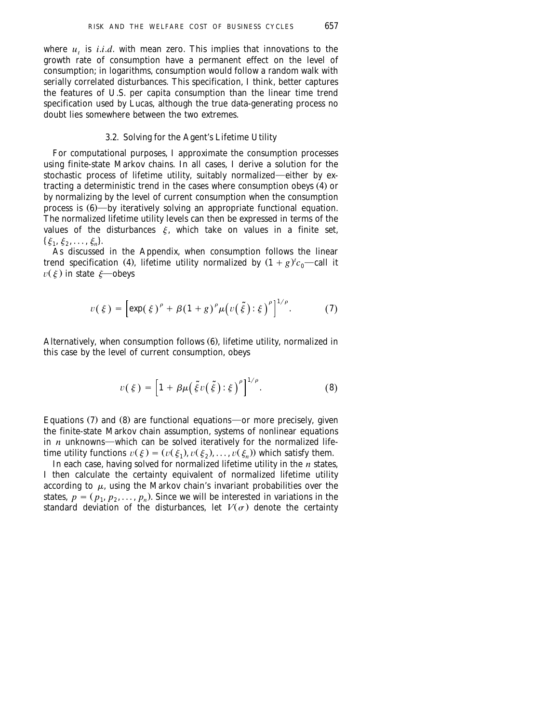where  $u_t$  is *i.i.d.* with mean zero. This implies that innovations to the growth rate of consumption have a permanent effect on the level of consumption; in logarithms, consumption would follow a random walk with serially correlated disturbances. This specification, I think, better captures the features of U.S. per capita consumption than the linear time trend specification used by Lucas, although the true data-generating process no doubt lies somewhere between the two extremes.

# 3.2. Solving for the Agent's Lifetime Utility

For computational purposes, I approximate the consumption processes using finite-state Markov chains. In all cases, I derive a solution for the stochastic process of lifetime utility, suitably normalized-either by extracting a deterministic trend in the cases where consumption obeys  $(4)$  or by normalizing by the level of current consumption when the consumption process is  $(6)$ —by iteratively solving an appropriate functional equation. The normalized lifetime utility levels can then be expressed in terms of the values of the disturbances  $\xi$ , which take on values in a finite set,  $\{\xi_1, \xi_2, \ldots, \xi_n\}.$ 

As discussed in the Appendix, when consumption follows the linear trend specification (4), lifetime utility normalized by  $(1 + g)^t c_0$  call it  $v(\xi)$  in state  $\xi$ —obeys

$$
v(\xi) = \left[ \exp(\xi)^{\rho} + \beta (1+g)^{\rho} \mu(v(\tilde{\xi}) : \xi)^{\rho} \right]^{1/\rho}.
$$
 (7)

Alternatively, when consumption follows (6), lifetime utility, normalized in this case by the level of current consumption, obeys

$$
v(\xi) = \left[1 + \beta \mu \left(\tilde{\xi} v(\tilde{\xi}) : \xi\right)^{\rho}\right]^{1/\rho}.
$$
 (8)

Equations (7) and (8) are functional equations  $-$  or more precisely, given the finite-state Markov chain assumption, systems of nonlinear equations in  $n$  unknowns—which can be solved iteratively for the normalized lifetime utility functions  $v(\xi) = (v(\xi_1), v(\xi_2), \ldots, v(\xi_n))$  which satisfy them.

In each case, having solved for normalized lifetime utility in the *n* states, I then calculate the certainty equivalent of normalized lifetime utility according to  $\mu$ , using the Markov chain's invariant probabilities over the states,  $p = (p_1, p_2, \ldots, p_n)$ . Since we will be interested in variations in the standard deviation of the disturbances, let  $V(\sigma)$  denote the certainty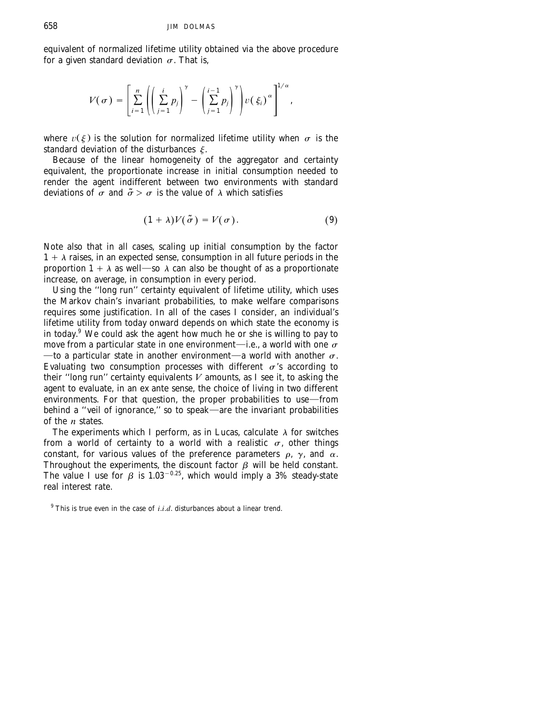equivalent of normalized lifetime utility obtained via the above procedure for a given standard deviation  $\sigma$ . That is,

$$
V(\sigma) = \left[\sum_{i=1}^n \left( \left(\sum_{j=1}^i p_j\right)^{\gamma} - \left(\sum_{j=1}^{i-1} p_j\right)^{\gamma} \right) v(\xi_i)^{\alpha} \right]^{1/\alpha},
$$

where  $v(\xi)$  is the solution for normalized lifetime utility when  $\sigma$  is the standard deviation of the disturbances  $\xi$ .

Because of the linear homogeneity of the aggregator and certainty equivalent, the proportionate increase in initial consumption needed to render the agent indifferent between two environments with standard deviations of  $\sigma$  and  $\tilde{\sigma} > \sigma$  is the value of  $\lambda$  which satisfies

$$
(1 + \lambda)V(\tilde{\sigma}) = V(\sigma).
$$
 (9)

Note also that in all cases, scaling up initial consumption by the factor  $1 + \lambda$  raises, in an expected sense, consumption in all future periods in the proportion  $1 + \lambda$  as well—so  $\lambda$  can also be thought of as a proportionate increase, on average, in consumption in every period.

Using the ''long run'' certainty equivalent of lifetime utility, which uses the Markov chain's invariant probabilities, to make welfare comparisons requires some justification. In all of the cases I consider, an individual's lifetime utility from today onward depends on which state the economy is in today.<sup>9</sup> We could ask the agent how much he or she is willing to pay to move from a particular state in one environment—i.e., a world with one  $\sigma$ —to a particular state in another environment—a world with another  $\sigma$ . Evaluating two consumption processes with different  $\sigma$ 's according to their ''long run'' certainty equivalents *V* amounts, as I see it, to asking the agent to evaluate, in an ex ante sense, the choice of living in two different environments. For that question, the proper probabilities to use—from behind a "veil of ignorance," so to speak—are the invariant probabilities of the *n* states.

The experiments which I perform, as in Lucas, calculate  $\lambda$  for switches from a world of certainty to a world with a realistic  $\sigma$ , other things constant, for various values of the preference parameters  $\rho$ ,  $\gamma$ , and  $\alpha$ . Throughout the experiments, the discount factor  $\beta$  will be held constant. The value I use for  $\beta$  is 1.03<sup>-0.25</sup>, which would imply a 3% steady-state real interest rate.

<sup>9</sup> This is true even in the case of *i*.*i*.*d*. disturbances about a linear trend.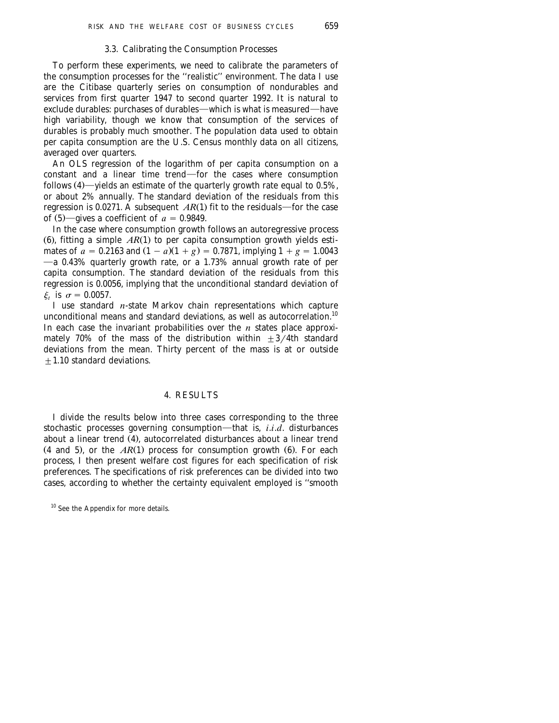# 3.3. Calibrating the Consumption Processes

<span id="page-13-0"></span>To perform these experiments, we need to calibrate the parameters of the consumption processes for the ''realistic'' environment. The data I use are the Citibase quarterly series on consumption of nondurables and services from first quarter 1947 to second quarter 1992. It is natural to exclude durables: purchases of durables—which is what is measured—have high variability, though we know that consumption of the services of durables is probably much smoother. The population data used to obtain per capita consumption are the U.S. Census monthly data on all citizens. averaged over quarters.

An OLS regression of the logarithm of per capita consumption on a  $constant$  and  $a$  linear time trend—for the cases where consumption follows (4)—yields an estimate of the quarterly growth rate equal to  $0.5\%$ , or about 2% annually. The standard deviation of the residuals from this regression is 0.0271. A subsequent  $AR(1)$  fit to the residuals—for the case of  $(5)$ —gives a coefficient of  $a = 0.9849$ .

In the case where consumption growth follows an autoregressive process (6), fitting a simple  $AR(1)$  to per capita consumption growth yields estimates of  $\alpha = 0.2163$  and  $(1 - \alpha)(1 + g) = 0.7871$ , implying  $1 + g = 1.0043$  $-$ a 0.43% quarterly growth rate, or a 1.73% annual growth rate of per capita consumption. The standard deviation of the residuals from this regression is 0.0056, implying that the unconditional standard deviation of  $\xi_t$  is  $\sigma = 0.0057$ .

I use standard *n*-state Markov chain representations which capture unconditional means and standard deviations, as well as autocorrelation.<sup>10</sup> In each case the invariant probabilities over the *n* states place approximately 70% of the mass of the distribution within  $\pm 3/4$ th standard deviations from the mean. Thirty percent of the mass is at or outside  $+1.10$  standard deviations.

# 4. RESULTS

I divide the results below into three cases corresponding to the three stochastic processes governing consumption—that is, *i.i.d.* disturbances about a linear trend  $\overline{4}$ ), autocorrelated disturbances about a linear trend  $(4 \text{ and } 5)$ , or the  $AR(1)$  process for consumption growth  $(6)$ . For each process, I then present welfare cost figures for each specification of risk preferences. The specifications of risk preferences can be divided into two cases, according to whether the certainty equivalent employed is ''smooth

 $10$  See the Appendix for more details.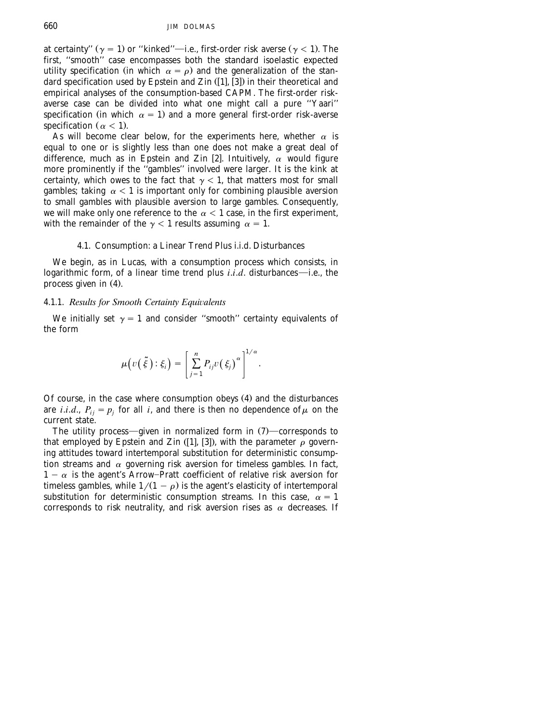at certainty'' ( $\gamma = 1$ ) or "kinked"—i.e., first-order risk averse ( $\gamma < 1$ ). The first, ''smooth'' case encompasses both the standard isoelastic expected utility specification (in which  $\alpha = \rho$ ) and the generalization of the standard specification used by Epstein and Zin  $(11, 3)$  in their theoretical and empirical analyses of the consumption-based CAPM. The first-order riskaverse case can be divided into what one might call a pure ''Yaari'' specification (in which  $\alpha = 1$ ) and a more general first-order risk-averse specification ( $\alpha$  < 1).

As will become clear below, for the experiments here, whether  $\alpha$  is equal to one or is slightly less than one does not make a great deal of difference, much as in Epstein and Zin [2]. Intuitively,  $\alpha$  would figure more prominently if the ''gambles'' involved were larger. It is the kink at certainty, which owes to the fact that  $\gamma$  < 1, that matters most for small gambles; taking  $\alpha$  < 1 is important only for combining plausible aversion to small gambles with plausible aversion to large gambles. Consequently, we will make only one reference to the  $\alpha < 1$  case, in the first experiment, with the remainder of the  $\gamma$  < 1 results assuming  $\alpha = 1$ .

# 4.1. Consumption: a Linear Trend Plus i.i.d. Disturbances

We begin, as in Lucas, with a consumption process which consists, in logarithmic form, of a linear time trend plus  $i.i.d.$  disturbances—i.e., the process given in  $(4)$ .

#### 4.1.1. *Results for Smooth Certainty Equivalents*

We initially set  $\gamma = 1$  and consider "smooth" certainty equivalents of the form

$$
\mu(v(\tilde{\xi}) : \xi_i) = \left[ \sum_{j=1}^n P_{ij} v(\xi_j) \right]^{\alpha} \right]^{1/\alpha}.
$$

Of course, in the case where consumption obeys  $(4)$  and the disturbances are *i.i.d.*,  $P_{ij} = p_j$  for all *i*, and there is then no dependence of  $\mu$  on the current state.

The utility process—given in normalized form in  $(7)$ —corresponds to that employed by Epstein and Zin ([1], [3]), with the parameter  $\rho$  governing attitudes toward intertemporal substitution for deterministic consumption streams and  $\alpha$  governing risk aversion for timeless gambles. In fact,  $1 - \alpha$  is the agent's Arrow-Pratt coefficient of relative risk aversion for timeless gambles, while  $1/(1 - \rho)$  is the agent's elasticity of intertemporal substitution for deterministic consumption streams. In this case,  $\alpha = 1$ corresponds to risk neutrality, and risk aversion rises as  $\alpha$  decreases. If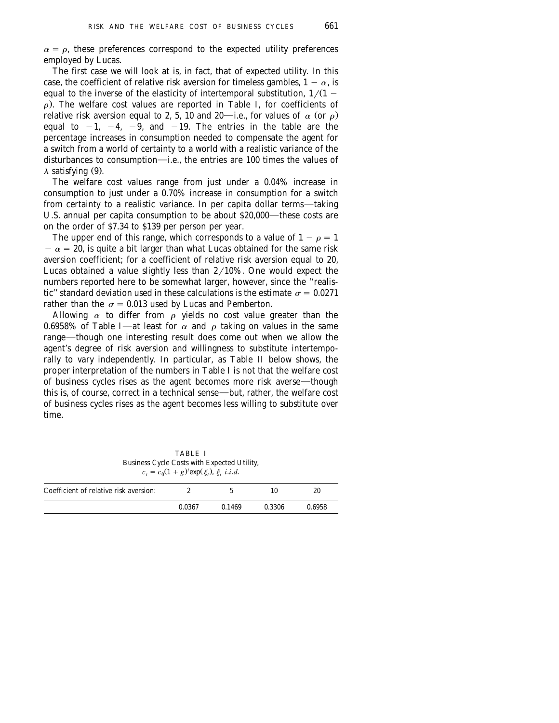<span id="page-15-0"></span> $\alpha = \rho$ , these preferences correspond to the expected utility preferences employed by Lucas.

The first case we will look at is, in fact, that of expected utility. In this case, the coefficient of relative risk aversion for timeless gambles,  $1 - \alpha$ , is equal to the inverse of the elasticity of intertemporal substitution,  $1/(1 \rho$ ). The welfare cost values are reported in Table I, for coefficients of relative risk aversion equal to 2, 5, 10 and 20—i.e., for values of  $\alpha$  (or  $\rho$ ) equal to  $-1$ ,  $-4$ ,  $-9$ , and  $-19$ . The entries in the table are the percentage increases in consumption needed to compensate the agent for a switch from a world of certainty to a world with a realistic variance of the disturbances to consumption—i.e., the entries are 100 times the values of  $\lambda$  satisfying (9).

The welfare cost values range from just under a 0.04% increase in consumption to just under a  $0.70\%$  increase in consumption for a switch from certainty to a realistic variance. In per capita dollar terms-taking U.S. annual per capita consumption to be about  $$20,000$ —these costs are on the order of \$7.34 to \$139 per person per year.

The upper end of this range, which corresponds to a value of  $1 - \rho = 1$  $\alpha = 20$ , is quite a bit larger than what Lucas obtained for the same risk aversion coefficient; for a coefficient of relative risk aversion equal to 20, Lucas obtained a value slightly less than  $2/10%$ . One would expect the numbers reported here to be somewhat larger, however, since the ''realistic'' standard deviation used in these calculations is the estimate  $\sigma = 0.0271$ rather than the  $\sigma = 0.013$  used by Lucas and Pemberton.

Allowing  $\alpha$  to differ from  $\rho$  yields no cost value greater than the 0.6958% of Table I—at least for  $\alpha$  and  $\rho$  taking on values in the same range—though one interesting result does come out when we allow the agent's degree of risk aversion and willingness to substitute intertemporally to vary independently. In particular, as [Table II](#page-16-0) below shows, the proper interpretation of the numbers in Table I is not that the welfare cost of business cycles rises as the agent becomes more risk averse—though this is, of course, correct in a technical sense—but, rather, the welfare cost of business cycles rises as the agent becomes less willing to substitute over time.

TABLE I Business Cycle Costs with Expected Utility,  $c_t = c_0(1 + g)^t \exp(\xi_t)$ ,  $\xi_t$  *i.i.d.* 

| Coefficient of relative risk aversion: |        |        |        | 20     |
|----------------------------------------|--------|--------|--------|--------|
|                                        | 0.0367 | 0.1469 | 0.3306 | 0.6958 |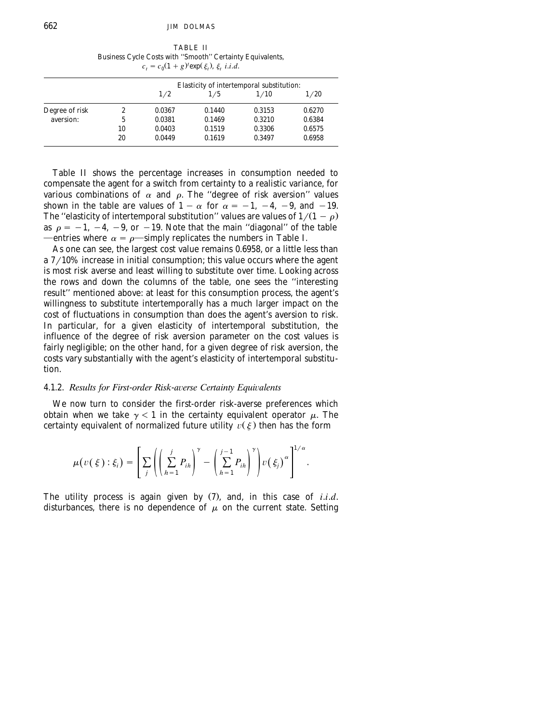<span id="page-16-0"></span>

|                |    | Elasticity of intertemporal substitution: |        |        |        |  |  |
|----------------|----|-------------------------------------------|--------|--------|--------|--|--|
|                |    | 1/2                                       | 1/5    | 1/10   | 1/20   |  |  |
| Degree of risk | 2  | 0.0367                                    | 0.1440 | 0.3153 | 0.6270 |  |  |
| aversion:      | 5  | 0.0381                                    | 0.1469 | 0.3210 | 0.6384 |  |  |
|                | 10 | 0.0403                                    | 0.1519 | 0.3306 | 0.6575 |  |  |
|                | 20 | 0.0449                                    | 0.1619 | 0.3497 | 0.6958 |  |  |

TABLE II Business Cycle Costs with "Smooth" Certainty Equivalents,  $c_t = c_0 (1 + g)^t \exp(\xi_t)$ ,  $\xi_t$  *i.i.d.* 

Table II shows the percentage increases in consumption needed to compensate the agent for a switch from certainty to a realistic variance, for various combinations of  $\alpha$  and  $\rho$ . The "degree of risk aversion" values shown in the table are values of  $1 - \alpha$  for  $\alpha = -1, -4, -9,$  and  $-19$ . The "elasticity of intertemporal substitution" values are values of  $1/(1 - \rho)$ as  $\rho = -1, -4, -9, \text{ or } -19$ . Note that the main "diagonal" of the table —entries where  $\alpha = \rho$ —simply replicates the numbers in [Table I.](#page-15-0)

As one can see, the largest cost value remains 0.6958, or a little less than a  $7/10\%$  increase in initial consumption; this value occurs where the agent is most risk averse and least willing to substitute over time. Looking across the rows and down the columns of the table, one sees the ''interesting result'' mentioned above: at least for this consumption process, the agent's willingness to substitute intertemporally has a much larger impact on the cost of fluctuations in consumption than does the agent's aversion to risk. In particular, for a given elasticity of intertemporal substitution, the influence of the degree of risk aversion parameter on the cost values is fairly negligible; on the other hand, for a given degree of risk aversion, the costs vary substantially with the agent's elasticity of intertemporal substitution.

# 4.1.2. *Results for First-order Risk-averse Certainty Equivalents*

We now turn to consider the first-order risk-averse preferences which obtain when we take  $\gamma$  < 1 in the certainty equivalent operator  $\mu$ . The certainty equivalent of normalized future utility  $v(\xi)$  then has the form

$$
\mu(v(\xi):\xi_i)=\left[\sum_j\left(\left(\sum_{h=1}^j P_{ih}\right)^{\gamma}-\left(\sum_{h=1}^{j-1} P_{ih}\right)^{\gamma}\right)v(\xi_j)^{\alpha}\right]^{1/\alpha}.
$$

The utility process is again given by  $(7)$ , and, in this case of *i.i.d.* disturbances, there is no dependence of  $\mu$  on the current state. Setting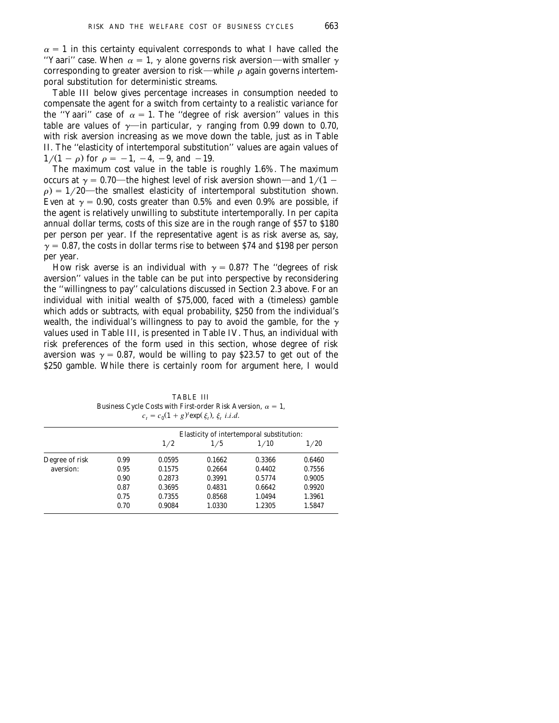<span id="page-17-0"></span> $\alpha = 1$  in this certainty equivalent corresponds to what I have called the "Yaari" case. When  $\alpha = 1$ ,  $\gamma$  alone governs risk aversion—with smaller  $\gamma$ corresponding to greater aversion to risk—while  $\rho$  again governs intertemporal substitution for deterministic streams.

Table III below gives percentage increases in consumption needed to compensate the agent for a switch from certainty to a realistic variance for the "Yaari" case of  $\alpha = 1$ . The "degree of risk aversion" values in this table are values of  $\gamma$ —in particular,  $\gamma$  ranging from 0.99 down to 0.70, with risk aversion increasing as we move down the table, just as in [Table](#page-16-0) [II.](#page-16-0) The ''elasticity of intertemporal substitution'' values are again values of  $1/(1 - \rho)$  for  $\rho = -1, -4, -9,$  and  $-19$ .

The maximum cost value in the table is roughly 1.6%. The maximum occurs at  $\gamma = 0.70$ —the highest level of risk aversion shown—and 1/(1 –  $\rho$ ) = 1/20—the smallest elasticity of intertemporal substitution shown. Even at  $\gamma = 0.90$ , costs greater than 0.5% and even 0.9% are possible, if the agent is relatively unwilling to substitute intertemporally. In per capita annual dollar terms, costs of this size are in the rough range of  $$57$  to  $$180$ per person per year. If the representative agent is as risk averse as, say,  $\gamma = 0.87$ , the costs in dollar terms rise to between \$74 and \$198 per person per year.

How risk averse is an individual with  $\gamma = 0.87$ ? The "degrees of risk aversion'' values in the table can be put into perspective by reconsidering the ''willingness to pay'' calculations discussed in [Section 2.3](#page-7-0) above. For an individual with initial wealth of \$75,000, faced with a (timeless) gamble which adds or subtracts, with equal probability, \$250 from the individual's wealth, the individual's willingness to pay to avoid the gamble, for the  $\gamma$ values used in Table III, is presented in [Table IV.](#page-18-0) Thus, an individual with risk preferences of the form used in this section, whose degree of risk aversion was  $\gamma = 0.87$ , would be willing to pay \$23.57 to get out of the \$250 gamble. While there is certainly room for argument here, I would

|                |      | Elasticity of intertemporal substitution: |        |        |        |  |  |
|----------------|------|-------------------------------------------|--------|--------|--------|--|--|
|                |      | 1/2                                       | 1/5    | 1/10   | 1/20   |  |  |
| Degree of risk | 0.99 | 0.0595                                    | 0.1662 | 0.3366 | 0.6460 |  |  |
| aversion:      | 0.95 | 0.1575                                    | 0.2664 | 0.4402 | 0.7556 |  |  |
|                | 0.90 | 0.2873                                    | 0.3991 | 0.5774 | 0.9005 |  |  |
|                | 0.87 | 0.3695                                    | 0.4831 | 0.6642 | 0.9920 |  |  |
|                | 0.75 | 0.7355                                    | 0.8568 | 1.0494 | 1.3961 |  |  |
|                | 0.70 | 0.9084                                    | 1.0330 | 1.2305 | 1.5847 |  |  |

TABLE III Business Cycle Costs with First-order Risk Aversion,  $\alpha = 1$ ,  $c_t = c_0(1 + g)^t \exp(\xi_t), \xi_t$ , *i.i.d.*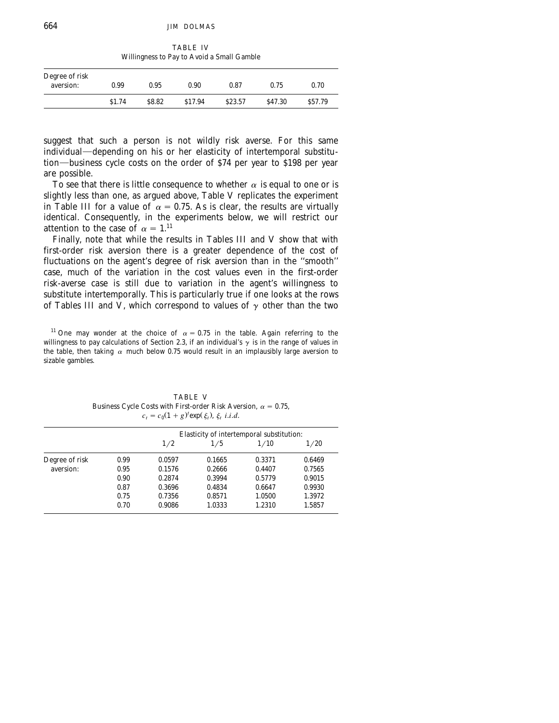<span id="page-18-0"></span>

|                             | Whillights to Fay to Avoid a Sinali Gamble |        |         |         |         |         |  |  |
|-----------------------------|--------------------------------------------|--------|---------|---------|---------|---------|--|--|
| Degree of risk<br>aversion: | 0.99                                       | 0.95   | 0.90    | 0.87    | 0.75    | 0.70    |  |  |
|                             | \$1.74                                     | \$8.82 | \$17.94 | \$23.57 | \$47.30 | \$57.79 |  |  |

TABLE IV Willingness to Pay to Avoid a Small Gamble

suggest that such a person is not wildly risk averse. For this same individual—depending on his or her elasticity of intertemporal substitu- $\frac{1}{100}$  tion—business cycle costs on the order of  $\frac{574}{100}$  per year to \$198 per year are possible.

To see that there is little consequence to whether  $\alpha$  is equal to one or is slightly less than one, as argued above, Table V replicates the experiment in [Table III](#page-17-0) for a value of  $\alpha = 0.75$ . As is clear, the results are virtually identical. Consequently, in the experiments below, we will restrict our attention to the case of  $\alpha = 1.11$ 

Finally, note that while the results in [Tables III](#page-17-0) and V show that with first-order risk aversion there is a greater dependence of the cost of fluctuations on the agent's degree of risk aversion than in the ''smooth'' case, much of the variation in the cost values even in the first-order risk-averse case is still due to variation in the agent's willingness to substitute intertemporally. This is particularly true if one looks at the rows of [Tables III](#page-17-0) and V, which correspond to values of  $\gamma$  other than the two

<sup>11</sup> One may wonder at the choice of  $\alpha = 0.75$  in the table. Again referring to the willingness to pay calculations of [Section 2.3,](#page-7-0) if an individual's  $\gamma$  is in the range of values in the table, then taking  $\alpha$  much below 0.75 would result in an implausibly large aversion to sizable gambles.

|                |      | Elasticity of intertemporal substitution: |        |        |        |  |
|----------------|------|-------------------------------------------|--------|--------|--------|--|
|                |      | 1/2                                       | 1/5    | 1/10   | 1/20   |  |
| Degree of risk | 0.99 | 0.0597                                    | 0.1665 | 0.3371 | 0.6469 |  |
| aversion:      | 0.95 | 0.1576                                    | 0.2666 | 0.4407 | 0.7565 |  |
|                | 0.90 | 0.2874                                    | 0.3994 | 0.5779 | 0.9015 |  |
|                | 0.87 | 0.3696                                    | 0.4834 | 0.6647 | 0.9930 |  |
|                | 0.75 | 0.7356                                    | 0.8571 | 1.0500 | 1.3972 |  |
|                | 0.70 | 0.9086                                    | 1.0333 | 1.2310 | 1.5857 |  |

TABLE V Business Cycle Costs with First-order Risk Aversion,  $\alpha = 0.75$ ,  $c_t = c_0(1 + g)^t \exp(\xi_t), \xi_t$  *i.i.d.*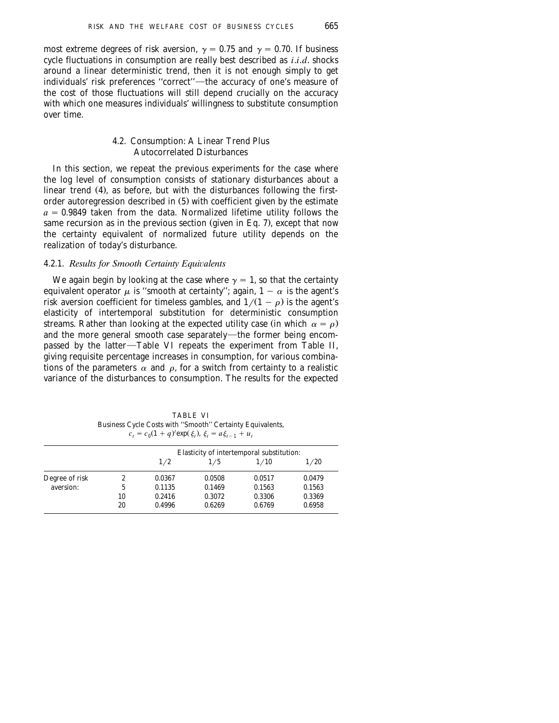<span id="page-19-0"></span>most extreme degrees of risk aversion,  $\gamma = 0.75$  and  $\gamma = 0.70$ . If business cycle fluctuations in consumption are really best described as *i*.*i*.*d*. shocks around a linear deterministic trend, then it is not enough simply to get individuals' risk preferences "correct"—the accuracy of one's measure of the cost of those fluctuations will still depend crucially on the accuracy with which one measures individuals' willingness to substitute consumption over time.

# 4.2. Consumption: A Linear Trend Plus Autocorrelated Disturbances

In this section, we repeat the previous experiments for the case where the log level of consumption consists of stationary disturbances about a linear trend (4), as before, but with the disturbances following the firstorder autoregression described in  $(5)$  with coefficient given by the estimate  $a = 0.9849$  taken from the data. Normalized lifetime utility follows the same recursion as in the previous section (given in Eq. 7), except that now the certainty equivalent of normalized future utility depends on the realization of today's disturbance.

## 4.2.1. *Results for Smooth Certainty Equivalents*

We again begin by looking at the case where  $\gamma = 1$ , so that the certainty equivalent operator  $\mu$  is "smooth at certainty"; again,  $1 - \alpha$  is the agent's risk aversion coefficient for timeless gambles, and  $1/(1 - \rho)$  is the agent's elasticity of intertemporal substitution for deterministic consumption streams. Rather than looking at the expected utility case (in which  $\alpha = \rho$ ) and the more general smooth case separately—the former being encom-passed by the latter-Table VI repeats the experiment from [Table II,](#page-16-0) giving requisite percentage increases in consumption, for various combinations of the parameters  $\alpha$  and  $\rho$ , for a switch from certainty to a realistic variance of the disturbances to consumption. The results for the expected

|                | $c_t = c_0(1 + q)^t \exp(\xi_t)$ , $\xi_t = a\xi_{t-1} + u_t$ |                                           |        |        |        |  |  |  |
|----------------|---------------------------------------------------------------|-------------------------------------------|--------|--------|--------|--|--|--|
|                |                                                               | Elasticity of intertemporal substitution: |        |        |        |  |  |  |
|                |                                                               | 1/2                                       | 1/5    | 1/10   | 1/20   |  |  |  |
| Degree of risk |                                                               | 0.0367                                    | 0.0508 | 0.0517 | 0.0479 |  |  |  |
| aversion:      | 5                                                             | 0.1135                                    | 0.1469 | 0.1563 | 0.1563 |  |  |  |
|                | 10                                                            | 0.2416                                    | 0.3072 | 0.3306 | 0.3369 |  |  |  |

20 0.4996 0.6269 0.6769 0.6958

TABLE VI Business Cycle Costs with ''Smooth'' Certainty Equivalents,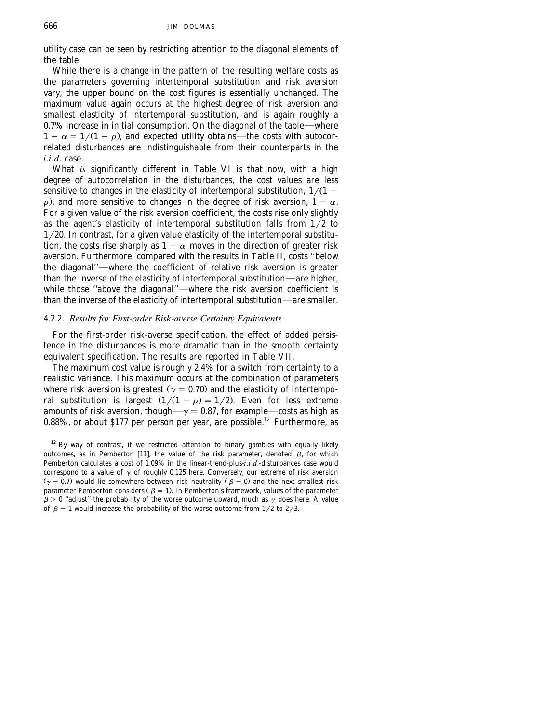utility case can be seen by restricting attention to the diagonal elements of the table.

While there is a change in the pattern of the resulting welfare costs as the parameters governing intertemporal substitution and risk aversion vary, the upper bound on the cost figures is essentially unchanged. The maximum value again occurs at the highest degree of risk aversion and smallest elasticity of intertemporal substitution, and is again roughly a 0.7% increase in initial consumption. On the diagonal of the table—where  $1 - \alpha = 1/(1 - \rho)$ , and expected utility obtains—the costs with autocorrelated disturbances are indistinguishable from their counterparts in the *i*.*i*.*d*. case.

What *is* significantly different in [Table VI](#page-19-0) is that now, with a high degree of autocorrelation in the disturbances, the cost values are less sensitive to changes in the elasticity of intertemporal substitution,  $1/(1 \rho$ ), and more sensitive to changes in the degree of risk aversion,  $1 - \alpha$ . For a given value of the risk aversion coefficient, the costs rise only slightly as the agent's elasticity of intertemporal substitution falls from  $1/2$  to  $1/20$ . In contrast, for a given value elasticity of the intertemporal substitution, the costs rise sharply as  $1 - \alpha$  moves in the direction of greater risk aversion. Furthermore, compared with the results in [Table II,](#page-16-0) costs ''below the diagonal"—where the coefficient of relative risk aversion is greater than the inverse of the elasticity of intertemporal substitution—are higher, while those "above the diagonal"—where the risk aversion coefficient is than the inverse of the elasticity of intertemporal substitution—are smaller.

# **4.2.2.** *Results for First-order Risk-averse Certainty Equivalents*

For the first-order risk-averse specification, the effect of added persistence in the disturbances is more dramatic than in the smooth certainty equivalent specification. The results are reported in [Table VII.](#page-21-0)

The maximum cost value is roughly 2.4% for a switch from certainty to a realistic variance. This maximum occurs at the combination of parameters where risk aversion is greatest ( $\gamma = 0.70$ ) and the elasticity of intertemporal substitution is largest  $(1/(1 - \rho) = 1/2)$ . Even for less extreme amounts of risk aversion, though— $\gamma = 0.87$ , for example—costs as high as 0.88%, or about \$177 per person per year, are possible.12 Furthermore, as

 $12$  By way of contrast, if we restricted attention to binary gambles with equally likely outcomes, as in Pemberton [11], the value of the risk parameter, denoted  $\beta$ , for which Pemberton calculates a cost of 1.09% in the linear-trend-plus-*i*.*i*.*d*.-disturbances case would correspond to a value of  $\gamma$  of roughly 0.125 here. Conversely, our extreme of risk aversion ( $\gamma = 0.7$ ) would lie somewhere between risk neutrality ( $\beta = 0$ ) and the next smallest risk parameter Pemberton considers ( $\beta = 1$ ). In Pemberton's framework, values of the parameter  $\beta > 0$  "adjust" the probability of the worse outcome upward, much as  $\gamma$  does here. A value of  $\beta = 1$  would increase the probability of the worse outcome from 1/2 to 2/3.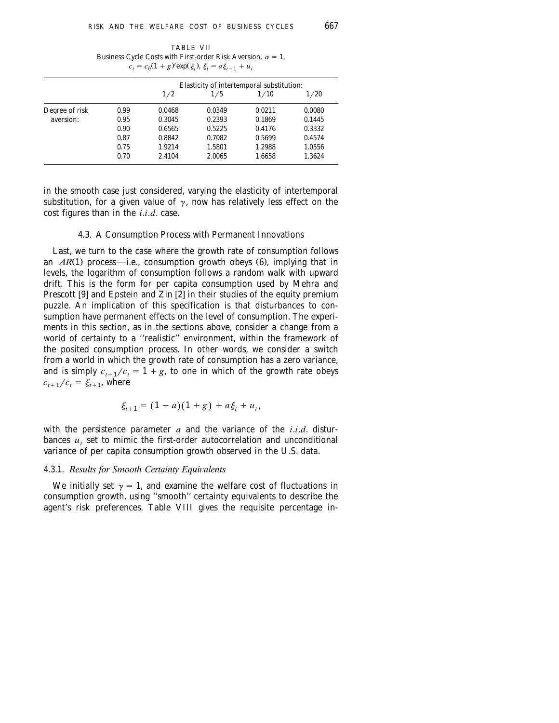<span id="page-21-0"></span>

|                |      | Elasticity of intertemporal substitution: |        |        |        |  |  |
|----------------|------|-------------------------------------------|--------|--------|--------|--|--|
|                |      | 1/2                                       | 1/5    | 1/10   | 1/20   |  |  |
| Degree of risk | 0.99 | 0.0468                                    | 0.0349 | 0.0211 | 0.0080 |  |  |
| aversion:      | 0.95 | 0.3045                                    | 0.2393 | 0.1869 | 0.1445 |  |  |
|                | 0.90 | 0.6565                                    | 0.5225 | 0.4176 | 0.3332 |  |  |
|                | 0.87 | 0.8842                                    | 0.7082 | 0.5699 | 0.4574 |  |  |
|                | 0.75 | 1.9214                                    | 1.5801 | 1.2988 | 1.0556 |  |  |
|                | 0.70 | 2.4104                                    | 2.0065 | 1.6658 | 1.3624 |  |  |

TABLE VII Business Cycle Costs with First-order Risk Aversion,  $\alpha = 1$ ,  $\dot{c} = c_s(1 + g)^t \exp(\xi)$   $\xi = a\xi$  ,  $\pm u$ 

in the smooth case just considered, varying the elasticity of intertemporal substitution, for a given value of  $\gamma$ , now has relatively less effect on the cost figures than in the *i*.*i*.*d*. case.

### 4.3. A Consumption Process with Permanent Innovations

Last, we turn to the case where the growth rate of consumption follows an  $AR(1)$  process—i.e., consumption growth obeys (6), implying that in levels, the logarithm of consumption follows a random walk with upward drift. This is the form for per capita consumption used by Mehra and Prescott [9] and Epstein and Zin  $[2]$  in their studies of the equity premium puzzle. An implication of this specification is that disturbances to consumption have permanent effects on the level of consumption. The experiments in this section, as in the sections above, consider a change from a world of certainty to a ''realistic'' environment, within the framework of the posited consumption process. In other words, we consider a switch from a world in which the growth rate of consumption has a zero variance, and is simply  $c_{t+1}/c_t = 1 + g$ , to one in which of the growth rate obeys  $c_{t+1}/c_t = \xi_{t+1}$ , where

$$
\xi_{t+1} = (1-a)(1+g) + a\xi_t + u_t,
$$

with the persistence parameter *a* and the variance of the *i*.*i*.*d*. disturbances  $u_t$  set to mimic the first-order autocorrelation and unconditional variance of per capita consumption growth observed in the U.S. data.

# **4.3.1. Results for Smooth Certainty Equivalents**

We initially set  $\gamma = 1$ , and examine the welfare cost of fluctuations in consumption growth, using ''smooth'' certainty equivalents to describe the agent's risk preferences. [Table VIII](#page-22-0) gives the requisite percentage in-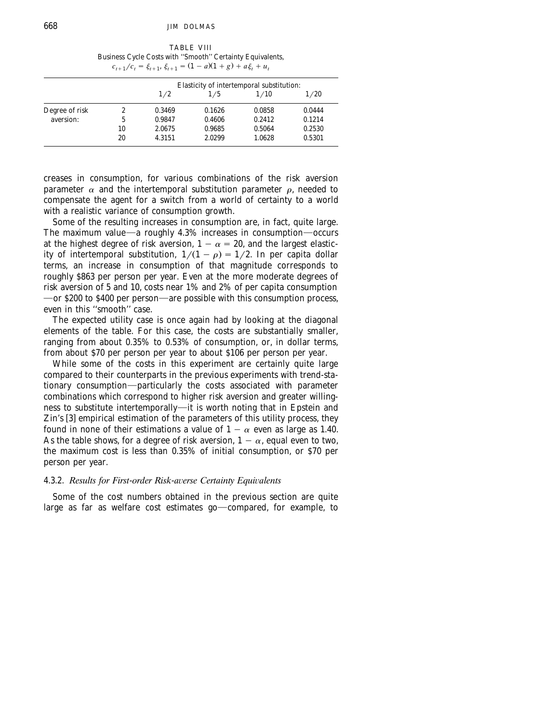<span id="page-22-0"></span>

|                |    | Elasticity of intertemporal substitution: |        |        |        |  |  |  |
|----------------|----|-------------------------------------------|--------|--------|--------|--|--|--|
|                |    | 1/2                                       | 1/5    | 1/10   | 1/20   |  |  |  |
| Degree of risk | 2  | 0.3469                                    | 0.1626 | 0.0858 | 0.0444 |  |  |  |
| aversion:      | 5  | 0.9847                                    | 0.4606 | 0.2412 | 0.1214 |  |  |  |
|                | 10 | 2.0675                                    | 0.9685 | 0.5064 | 0.2530 |  |  |  |
|                | 20 | 4.3151                                    | 2.0299 | 1.0628 | 0.5301 |  |  |  |

TABLE VIII Business Cycle Costs with "Smooth" Certainty Equivalents,<br> $c_{t+1}/c_t = \xi_{t+1}, \xi_{t+1} = (1 - a)(1 + g) + a\xi_t + u_t$ 

creases in consumption, for various combinations of the risk aversion parameter  $\alpha$  and the intertemporal substitution parameter  $\rho$ , needed to compensate the agent for a switch from a world of certainty to a world with a realistic variance of consumption growth.

Some of the resulting increases in consumption are, in fact, quite large. The maximum value—a roughly  $4.3\%$  increases in consumption—occurs at the highest degree of risk aversion,  $1 - \alpha = 20$ , and the largest elasticity of intertemporal substitution,  $1/(1 - \rho) = 1/2$ . In per capita dollar terms, an increase in consumption of that magnitude corresponds to roughly \$863 per person per year. Even at the more moderate degrees of risk aversion of 5 and 10, costs near 1% and 2% of per capita consumption  $\sim$  or \$200 to \$400 per person—are possible with this consumption process, even in this ''smooth'' case.

The expected utility case is once again had by looking at the diagonal elements of the table. For this case, the costs are substantially smaller, ranging from about 0.35% to 0.53% of consumption, or, in dollar terms, from about \$70 per person per year to about \$106 per person per year.

While some of the costs in this experiment are certainly quite large compared to their counterparts in the previous experiments with trend-stationary consumption—particularly the costs associated with parameter combinations which correspond to higher risk aversion and greater willingness to substitute intertemporally—it is worth noting that in Epstein and Zin's  $[3]$  empirical estimation of the parameters of this utility process, they found in none of their estimations a value of  $1 - \alpha$  even as large as 1.40. As the table shows, for a degree of risk aversion,  $1 - \alpha$ , equal even to two, the maximum cost is less than 0.35% of initial consumption, or \$70 per person per year.

## **4.3.2. Results for First-order Risk-averse Certainty Equivalents**

Some of the cost numbers obtained in the previous section are quite large as far as welfare cost estimates go-compared, for example, to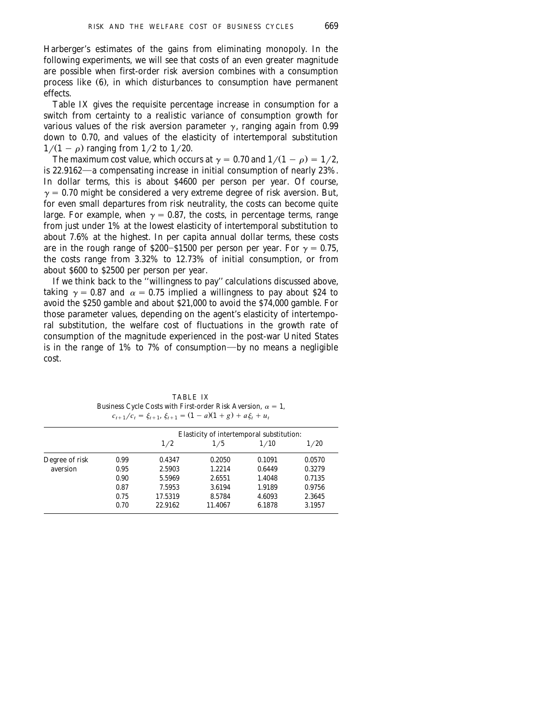Harberger's estimates of the gains from eliminating monopoly. In the following experiments, we will see that costs of an even greater magnitude are possible when first-order risk aversion combines with a consumption process like  $(6)$ , in which disturbances to consumption have permanent <u>.</u><br>effects

Table IX gives the requisite percentage increase in consumption for a switch from certainty to a realistic variance of consumption growth for various values of the risk aversion parameter  $\gamma$ , ranging again from 0.99 down to 0.70, and values of the elasticity of intertemporal substitution  $1/(1 - \rho)$  ranging from  $1/2$  to  $1/20$ .

The maximum cost value, which occurs at  $\gamma = 0.70$  and  $1/(1 - \rho) = 1/2$ . is 22.9162—a compensating increase in initial consumption of nearly  $23\%$ . In dollar terms, this is about \$4600 per person per year. Of course,  $\gamma = 0.70$  might be considered a very extreme degree of risk aversion. But, for even small departures from risk neutrality, the costs can become quite large. For example, when  $\gamma = 0.87$ , the costs, in percentage terms, range from just under 1% at the lowest elasticity of intertemporal substitution to about 7.6% at the highest. In per capita annual dollar terms, these costs are in the rough range of \$200–\$1500 per person per year. For  $\gamma = 0.75$ , the costs range from 3.32% to 12.73% of initial consumption, or from about \$600 to \$2500 per person per year.

If we think back to the ''willingness to pay'' calculations discussed above, taking  $\gamma = 0.87$  and  $\alpha = 0.75$  implied a willingness to pay about \$24 to avoid the \$250 gamble and about \$21,000 to avoid the \$74,000 gamble. For those parameter values, depending on the agent's elasticity of intertemporal substitution, the welfare cost of fluctuations in the growth rate of consumption of the magnitude experienced in the post-war United States is in the range of 1% to 7% of consumption—by no means a negligible cost.

|                |      | Elasticity of intertemporal substitution: |         |        |        |  |  |
|----------------|------|-------------------------------------------|---------|--------|--------|--|--|
|                |      | 1/2                                       | 1/5     | 1/10   | 1/20   |  |  |
| Degree of risk | 0.99 | 0.4347                                    | 0.2050  | 0.1091 | 0.0570 |  |  |
| aversion       | 0.95 | 2.5903                                    | 1.2214  | 0.6449 | 0.3279 |  |  |
|                | 0.90 | 5.5969                                    | 2.6551  | 1.4048 | 0.7135 |  |  |
|                | 0.87 | 7.5953                                    | 3.6194  | 1.9189 | 0.9756 |  |  |
|                | 0.75 | 17.5319                                   | 8.5784  | 4.6093 | 2.3645 |  |  |
|                | 0.70 | 22.9162                                   | 11.4067 | 6.1878 | 3.1957 |  |  |

TABLE IX Business Cycle Costs with First-order Risk Aversion,  $\alpha = 1$ ,  $c_{t+1}/c_t = \xi_{t+1}, \xi_{t+1} = (1 - a)(1 + g) + a\xi_t + u_t$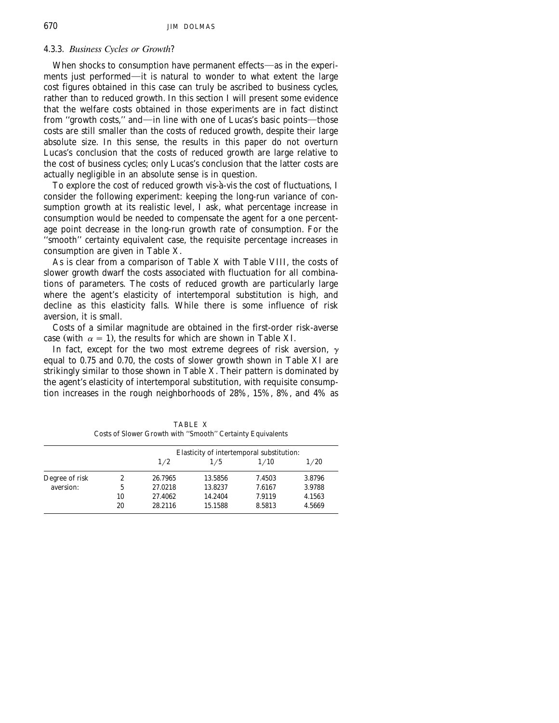#### 4.3.3. *Business Cycles or Growth*?

When shocks to consumption have permanent effects—as in the experiments just performed—it is natural to wonder to what extent the large cost figures obtained in this case can truly be ascribed to business cycles, rather than to reduced growth. In this section I will present some evidence that the welfare costs obtained in those experiments are in fact distinct from "growth costs," and—in line with one of Lucas's basic points—those costs are still smaller than the costs of reduced growth, despite their large absolute size. In this sense, the results in this paper do not overturn Lucas's conclusion that the costs of reduced growth are large relative to the cost of business cycles; only Lucas's conclusion that the latter costs are actually negligible in an absolute sense is in question.

To explore the cost of reduced growth vis- $\frac{1}{4}$ -vis the cost of fluctuations, I consider the following experiment: keeping the long-run variance of consumption growth at its realistic level, I ask, what percentage increase in consumption would be needed to compensate the agent for a one percentage point decrease in the long-run growth rate of consumption. For the ''smooth'' certainty equivalent case, the requisite percentage increases in consumption are given in Table X.

As is clear from a comparison of Table X with [Table VIII,](#page-22-0) the costs of slower growth dwarf the costs associated with fluctuation for all combinations of parameters. The costs of reduced growth are particularly large where the agent's elasticity of intertemporal substitution is high, and decline as this elasticity falls. While there is some influence of risk aversion, it is small.

Costs of a similar magnitude are obtained in the first-order risk-averse case (with  $\alpha = 1$ ), the results for which are shown in [Table XI.](#page-25-0)

In fact, except for the two most extreme degrees of risk aversion,  $\gamma$ equal to 0.75 and 0.70, the costs of slower growth shown in [Table XI](#page-25-0) are strikingly similar to those shown in Table X. Their pattern is dominated by the agent's elasticity of intertemporal substitution, with requisite consumption increases in the rough neighborhoods of 28%, 15%, 8%, and 4% as

|                |    | Elasticity of intertemporal substitution: |         |        |        |  |
|----------------|----|-------------------------------------------|---------|--------|--------|--|
|                |    | 1/2                                       | 1/5     | 1/10   | 1/20   |  |
| Degree of risk | 2  | 26.7965                                   | 13.5856 | 7.4503 | 3.8796 |  |
| aversion:      | 5  | 27.0218                                   | 13.8237 | 7.6167 | 3.9788 |  |
|                | 10 | 27.4062                                   | 14.2404 | 7.9119 | 4.1563 |  |
|                | 20 | 28.2116                                   | 15.1588 | 8.5813 | 4.5669 |  |

TABLE X Costs of Slower Growth with ''Smooth'' Certainty Equivalents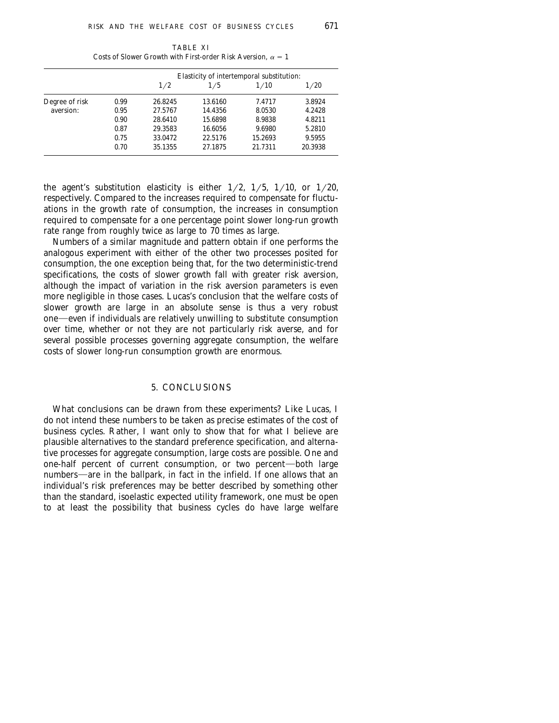<span id="page-25-0"></span>

|                |      | Elasticity of intertemporal substitution: |         |         |         |  |
|----------------|------|-------------------------------------------|---------|---------|---------|--|
|                |      | 1/2                                       | 1/5     | 1/10    | 1/20    |  |
| Degree of risk | 0.99 | 26.8245                                   | 13.6160 | 7.4717  | 3.8924  |  |
| aversion:      | 0.95 | 27.5767                                   | 14.4356 | 8.0530  | 4.2428  |  |
|                | 0.90 | 28.6410                                   | 15.6898 | 8.9838  | 4.8211  |  |
|                | 0.87 | 29.3583                                   | 16.6056 | 9.6980  | 5.2810  |  |
|                | 0.75 | 33.0472                                   | 22.5176 | 15.2693 | 9.5955  |  |
|                | 0.70 | 35.1355                                   | 27.1875 | 21.7311 | 20.3938 |  |

| TABLE XI                                                            |  |
|---------------------------------------------------------------------|--|
| Costs of Slower Growth with First-order Risk Aversion. $\alpha = 1$ |  |

the agent's substitution elasticity is either  $1/2$ ,  $1/5$ ,  $1/10$ , or  $1/20$ , respectively. Compared to the increases required to compensate for fluctuations in the growth rate of consumption, the increases in consumption required to compensate for a one percentage point slower long-run growth rate range from roughly twice as large to 70 times as large.

Numbers of a similar magnitude and pattern obtain if one performs the analogous experiment with either of the other two processes posited for consumption, the one exception being that, for the two deterministic-trend specifications, the costs of slower growth fall with greater risk aversion, although the impact of variation in the risk aversion parameters is even more negligible in those cases. Lucas's conclusion that the welfare costs of slower growth are large in an absolute sense is thus a very robust one—even if individuals are relatively unwilling to substitute consumption over time, whether or not they are not particularly risk averse, and for several possible processes governing aggregate consumption, the welfare costs of slower long-run consumption growth are enormous.

### 5. CONCLUSIONS

What conclusions can be drawn from these experiments? Like Lucas, I do not intend these numbers to be taken as precise estimates of the cost of business cycles. Rather, I want only to show that for what I believe are plausible alternatives to the standard preference specification, and alternative processes for aggregate consumption, large costs are possible. One and one-half percent of current consumption, or two percent-both large numbers—are in the ballpark, in fact in the infield. If one allows that an individual's risk preferences may be better described by something other than the standard, isoelastic expected utility framework, one must be open to at least the possibility that business cycles do have large welfare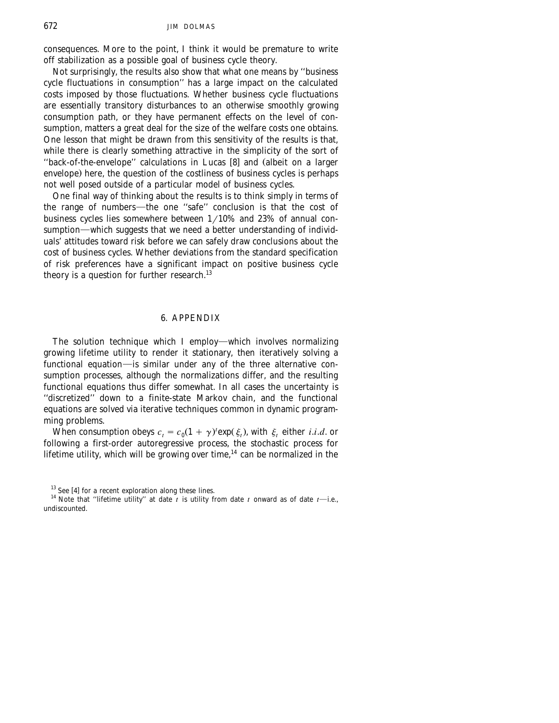consequences. More to the point, I think it would be premature to write off stabilization as a possible goal of business cycle theory.

Not surprisingly, the results also show that what one means by ''business cycle fluctuations in consumption'' has a large impact on the calculated costs imposed by those fluctuations. Whether business cycle fluctuations are essentially transitory disturbances to an otherwise smoothly growing consumption path, or they have permanent effects on the level of consumption, matters a great deal for the size of the welfare costs one obtains. One lesson that might be drawn from this sensitivity of the results is that, while there is clearly something attractive in the simplicity of the sort of "back-of-the-envelope" calculations in Lucas [8] and (albeit on a larger envelope) here, the question of the costliness of business cycles is perhaps not well posed outside of a particular model of business cycles.

One final way of thinking about the results is to think simply in terms of the range of numbers—the one "safe" conclusion is that the cost of business cycles lies somewhere between  $1/10\%$  and 23% of annual consumption—which suggests that we need a better understanding of individuals' attitudes toward risk before we can safely draw conclusions about the cost of business cycles. Whether deviations from the standard specification of risk preferences have a significant impact on positive business cycle theory is a question for further research.<sup>13</sup>

### 6. APPENDIX

The solution technique which I employ-which involves normalizing growing lifetime utility to render it stationary, then iteratively solving a functional equation—is similar under any of the three alternative consumption processes, although the normalizations differ, and the resulting functional equations thus differ somewhat. In all cases the uncertainty is "discretized" down to a finite-state Markov chain, and the functional equations are solved via iterative techniques common in dynamic programming problems.

When consumption obeys  $c_t = c_0(1 + \gamma)^t \exp(\xi_t)$ , with  $\xi_t$  either *i.i.d.* or following a first-order autoregressive process, the stochastic process for lifetime utility, which will be growing over time, $^{14}$  can be normalized in the

<sup>&</sup>lt;sup>13</sup> See [4] for a recent exploration along these lines.<br><sup>14</sup> Note that "lifetime utility" at date *t* is utility from date *t* onward as of date *t*—i.e., undiscounted.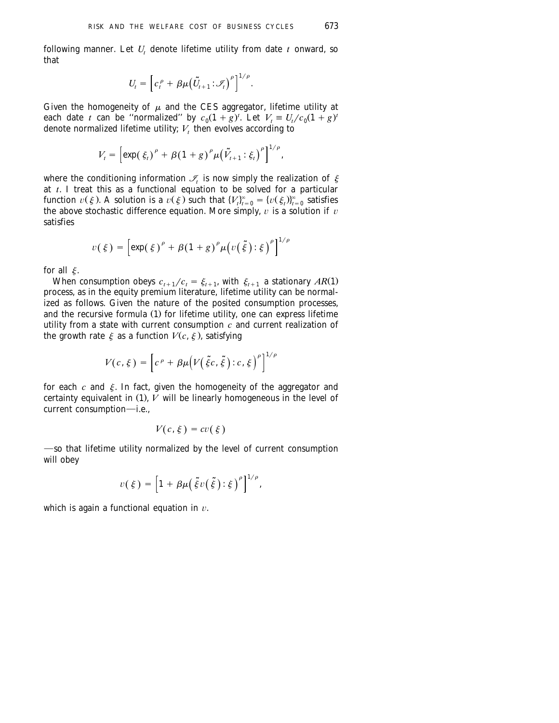following manner. Let  $U_t$  denote lifetime utility from date  $t$  onward, so that

$$
U_t = \left[ c_t^{\rho} + \beta \mu \big( \tilde{U}_{t+1} : \mathscr{I}_t \big)^{\rho} \right]^{1/\rho}.
$$

Given the homogeneity of  $\mu$  and the CES aggregator, lifetime utility at each date *t* can be "normalized" by  $c_0(1 + g)^t$ . Let  $V_t = U_t/c_0(1 + g)^t$ denote normalized lifetime utility;  $V_t$  then evolves according to

$$
V_t = \left[\exp(\xi_t)^{\rho} + \beta(1+g)^{\rho}\mu(\tilde{V}_{t+1}:\xi_t)^{\rho}\right]^{1/\rho},
$$

where the conditioning information  $\mathcal{I}_t$  is now simply the realization of  $\xi$ at *t*. I treat this as a functional equation to be solved for a particular function  $v(\xi)$ . A solution is a  $v(\xi)$  such that  $\{V_i\}_{i=0}^{\infty} = \{v(\xi_i)\}_{i=0}^{\infty}$  satisfies the above stochastic difference equation. More simply, v is a solution if v satisfies

$$
v(\xi) = \left[\exp(\xi)^{\rho} + \beta(1+g)^{\rho}\mu(v(\tilde{\xi}):\xi)^{\rho}\right]^{1/\rho}
$$

for all  $\xi$ .

When consumption obeys  $c_{t+1}/c_t = \xi_{t+1}$ , with  $\xi_{t+1}$  a stationary *AR*(1) process, as in the equity premium literature, lifetime utility can be normalized as follows. Given the nature of the posited consumption processes, and the recursive formula  $(1)$  for lifetime utility, one can express lifetime utility from a state with current consumption  $\vec{c}$  and current realization of the growth rate  $\xi$  as a function  $V(c, \xi)$ , satisfying

$$
V(c,\xi) = \left[c^{\rho} + \beta\mu \left(V(\tilde{\xi}c,\tilde{\xi}) : c,\xi\right)^{\rho}\right]^{1/\rho}
$$

for each  $c$  and  $\xi$ . In fact, given the homogeneity of the aggregator and certainty equivalent in  $(1)$ ,  $\overline{V}$  will be linearly homogeneous in the level of current consumption-i.e.,

$$
V(c,\xi)=cv(\xi)
$$

-so that lifetime utility normalized by the level of current consumption will obey

$$
v(\xi) = \left[1 + \beta \mu \big(\tilde{\xi} v(\tilde{\xi}) : \xi\big)^{\rho}\right]^{1/\rho},
$$

which is again a functional equation in  $\nu$ .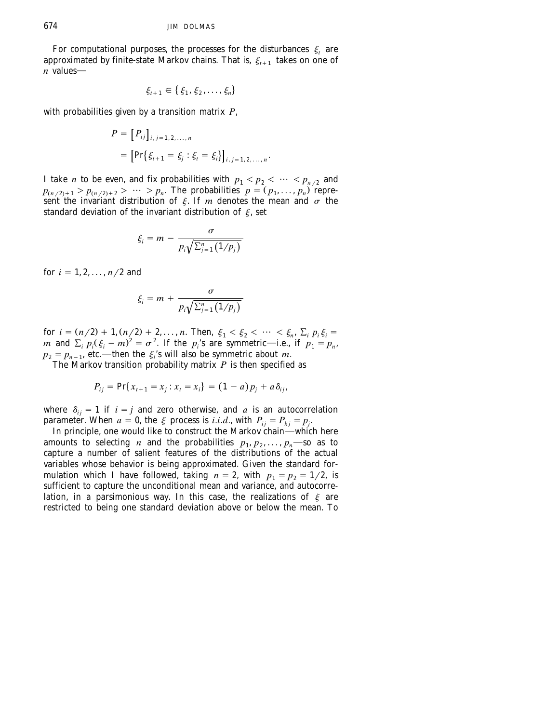For computational purposes, the processes for the disturbances  $\xi_t$  are approximated by finite-state Markov chains. That is,  $\,\xi_{t+1}\,$  takes on one of  $n$  values —

$$
\xi_{t+1} \in \{ \xi_1, \xi_2, \ldots, \xi_n \}
$$

with probabilities given by a transition matrix *P*,

$$
P = [P_{ij}]_{i,j=1,2,...,n}
$$
  
=  $[\Pr{\xi_{t+1} = \xi_j : \xi_t = \xi_i}]_{i,j=1,2,...,n}.$ 

I take *n* to be even, and fix probabilities with  $p_1 < p_2 < \cdots < p_{n/2}$  and  $p_{(n/2)+1} > p_{(n/2)+2} > \cdots > p_n$ . The probabilities  $p = (p_1, \ldots, p_n)$  represent the invariant distribution of  $\xi$ . If *m* denotes the mean and  $\sigma$  the standard deviation of the invariant distribution of  $\xi$ , set

$$
\xi_i = m - \frac{\sigma}{p_i \sqrt{\sum_{j=1}^n (1/p_j)}}
$$

for  $i = 1, 2, ..., n/2$  and

$$
\xi_i = m + \frac{\sigma}{p_i \sqrt{\sum_{j=1}^n (1/p_j)}}
$$

for  $i = (n/2) + 1, (n/2) + 2, ..., n$ . Then,  $\xi_1 < \xi_2 < \cdots < \xi_n$ ,  $\sum_i p_i \xi_i =$ *m* and  $\sum_{i} p_i(\xi_i - m)^2 = \sigma^2$ . If the *p*<sub>i</sub>'s are symmetric—i.e., if  $p_1 = p_n$ ,  $p_2 = p_{n-1}$ , etc.—then the  $\xi_i$ 's will also be symmetric about *m*.

The Markov transition probability matrix  $P$  is then specified as

$$
P_{ij} = \Pr\{x_{t+1} = x_j : x_t = x_i\} = (1 - a)p_j + a\delta_{ij},
$$

where  $\delta_{ij} = 1$  if  $i = j$  and zero otherwise, and *a* is an autocorrelation parameter. When  $a = 0$ , the  $\xi$  process is *i.i.d.*, with  $P_{ij} = P_{kj} = p_j$ .

In principle, one would like to construct the Markov chain—which here amounts to selecting *n* and the probabilities  $p_1, p_2, \ldots, p_n$  so as to capture a number of salient features of the distributions of the actual variables whose behavior is being approximated. Given the standard formulation which I have followed, taking  $n = 2$ , with  $p_1 = p_2 = 1/2$ , is sufficient to capture the unconditional mean and variance, and autocorrelation, in a parsimonious way. In this case, the realizations of  $\xi$  are restricted to being one standard deviation above or below the mean. To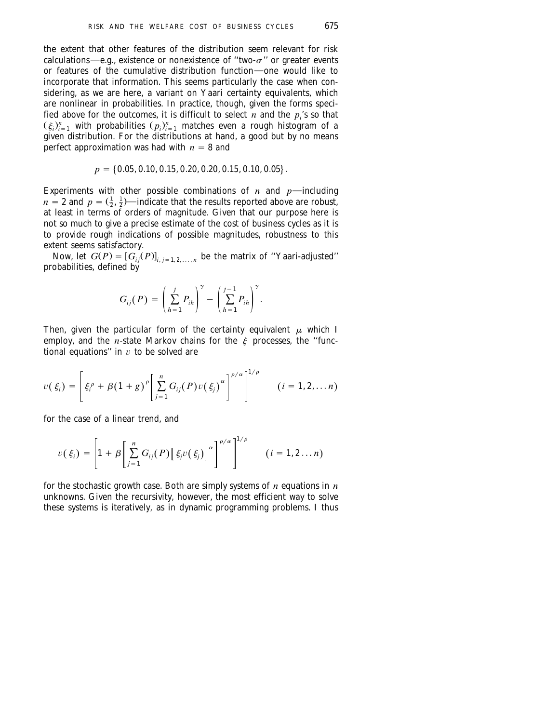the extent that other features of the distribution seem relevant for risk calculations—e.g., existence or nonexistence of "two- $\sigma$ " or greater events or features of the cumulative distribution function-one would like to incorporate that information. This seems particularly the case when considering, as we are here, a variant on Yaari certainty equivalents, which are nonlinear in probabilities. In practice, though, given the forms specified above for the outcomes, it is difficult to select *n* and the  $p_i$ 's so that  $(\xi_i)_{i=1}^n$  with probabilities  $(p_i)_{i=1}^n$  matches even a rough histogram of a given distribution. For the distributions at hand, a good but by no means perfect approximation was had with  $n = 8$  and

$$
p = \{0.05, 0.10, 0.15, 0.20, 0.20, 0.15, 0.10, 0.05\}.
$$

Experiments with other possible combinations of  $n$  and  $p$ —including  $n = 2$  and  $p = (\frac{1}{2}, \frac{1}{2})$ —indicate that the results reported above are robust, at least in terms of orders of magnitude. Given that our purpose here is not so much to give a precise estimate of the cost of business cycles as it is to provide rough indications of possible magnitudes, robustness to this extent seems satisfactory.

Now, let  $G(P) = [G_{ij}(P)]_{i,j=1,2,...,n}$  be the matrix of "Yaari-adjusted" probabilities, defined by

$$
G_{ij}(P) = \left(\sum_{h=1}^{j} P_{ih}\right)^{\gamma} - \left(\sum_{h=1}^{j-1} P_{ih}\right)^{\gamma}.
$$

Then, given the particular form of the certainty equivalent  $\mu$  which I employ, and the *n*-state Markov chains for the  $\xi$  processes, the "functional equations" in  $v$  to be solved are

$$
v(\xi_i) = \left[ \xi_i^{\rho} + \beta (1+g)^{\rho} \left[ \sum_{j=1}^n G_{ij}(P) v(\xi_j)^{\alpha} \right]^{p/\alpha} \right]^{1/\rho} \qquad (i = 1, 2, ... n)
$$

for the case of a linear trend, and

$$
v(\xi_i) = \left[1 + \beta \left[\sum_{j=1}^n G_{ij}(P)\left[\xi_j v(\xi_j)\right]^\alpha\right]^{p/\alpha}\right]^{1/p} \qquad (i = 1, 2...n)
$$

for the stochastic growth case. Both are simply systems of *n* equations in *n* unknowns. Given the recursivity, however, the most efficient way to solve these systems is iteratively, as in dynamic programming problems. I thus